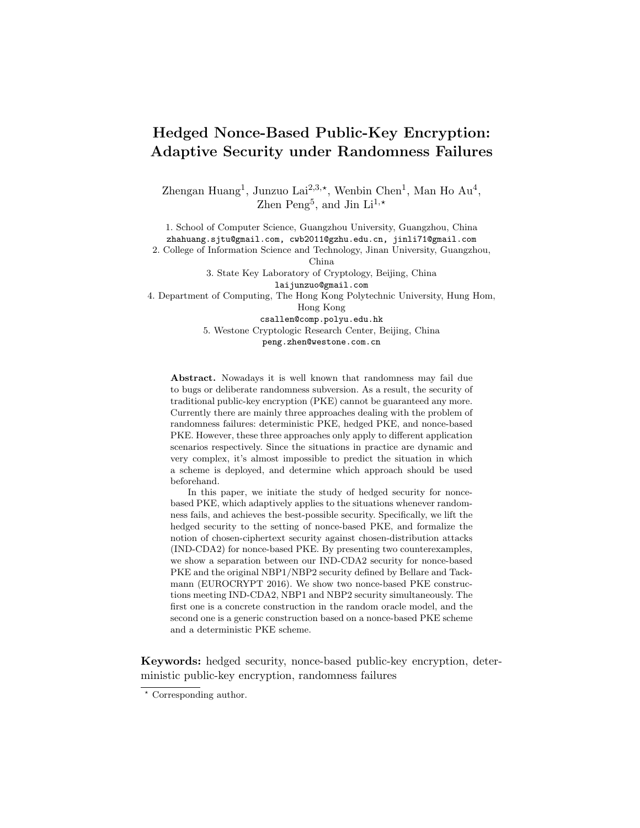# Hedged Nonce-Based Public-Key Encryption: Adaptive Security under Randomness Failures

Zhengan Huang<sup>1</sup>, Junzuo Lai<sup>2,3,\*</sup>, Wenbin Chen<sup>1</sup>, Man Ho Au<sup>4</sup>, Zhen  $Peng^5$ , and Jin  $Li^{1,*}$ 

1. School of Computer Science, Guangzhou University, Guangzhou, China zhahuang.sjtu@gmail.com, cwb2011@gzhu.edu.cn, jinli71@gmail.com

2. College of Information Science and Technology, Jinan University, Guangzhou,

China

3. State Key Laboratory of Cryptology, Beijing, China

laijunzuo@gmail.com

4. Department of Computing, The Hong Kong Polytechnic University, Hung Hom,

Hong Kong

csallen@comp.polyu.edu.hk

5. Westone Cryptologic Research Center, Beijing, China

peng.zhen@westone.com.cn

Abstract. Nowadays it is well known that randomness may fail due to bugs or deliberate randomness subversion. As a result, the security of traditional public-key encryption (PKE) cannot be guaranteed any more. Currently there are mainly three approaches dealing with the problem of randomness failures: deterministic PKE, hedged PKE, and nonce-based PKE. However, these three approaches only apply to different application scenarios respectively. Since the situations in practice are dynamic and very complex, it's almost impossible to predict the situation in which a scheme is deployed, and determine which approach should be used beforehand.

In this paper, we initiate the study of hedged security for noncebased PKE, which adaptively applies to the situations whenever randomness fails, and achieves the best-possible security. Specifically, we lift the hedged security to the setting of nonce-based PKE, and formalize the notion of chosen-ciphertext security against chosen-distribution attacks (IND-CDA2) for nonce-based PKE. By presenting two counterexamples, we show a separation between our IND-CDA2 security for nonce-based PKE and the original NBP1/NBP2 security defined by Bellare and Tackmann (EUROCRYPT 2016). We show two nonce-based PKE constructions meeting IND-CDA2, NBP1 and NBP2 security simultaneously. The first one is a concrete construction in the random oracle model, and the second one is a generic construction based on a nonce-based PKE scheme and a deterministic PKE scheme.

Keywords: hedged security, nonce-based public-key encryption, deterministic public-key encryption, randomness failures

<sup>?</sup> Corresponding author.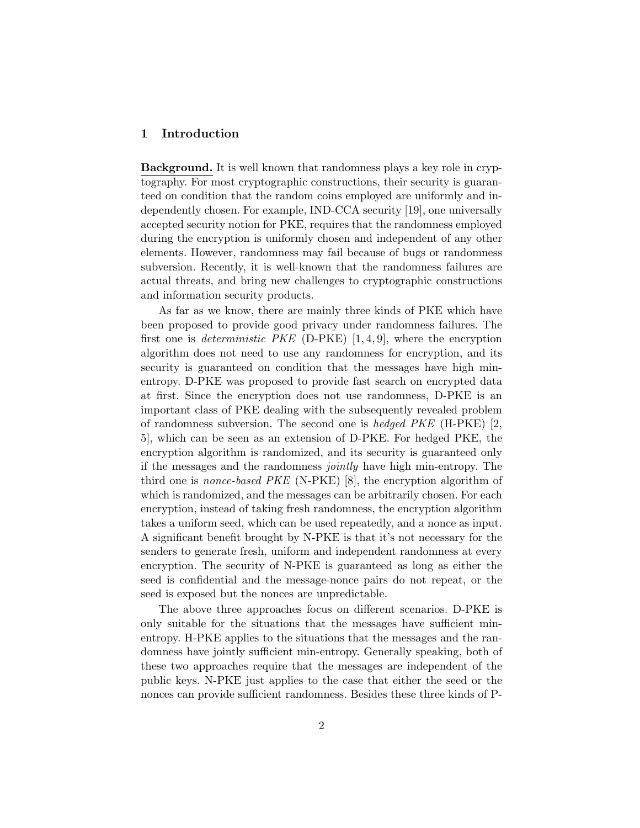## 1 Introduction

Background. It is well known that randomness plays a key role in cryptography. For most cryptographic constructions, their security is guaranteed on condition that the random coins employed are uniformly and independently chosen. For example, IND-CCA security [19], one universally accepted security notion for PKE, requires that the randomness employed during the encryption is uniformly chosen and independent of any other elements. However, randomness may fail because of bugs or randomness subversion. Recently, it is well-known that the randomness failures are actual threats, and bring new challenges to cryptographic constructions and information security products.

As far as we know, there are mainly three kinds of PKE which have been proposed to provide good privacy under randomness failures. The first one is *deterministic PKE* (D-PKE)  $[1, 4, 9]$ , where the encryption algorithm does not need to use any randomness for encryption, and its security is guaranteed on condition that the messages have high minentropy. D-PKE was proposed to provide fast search on encrypted data at first. Since the encryption does not use randomness, D-PKE is an important class of PKE dealing with the subsequently revealed problem of randomness subversion. The second one is hedged PKE (H-PKE) [2, 5], which can be seen as an extension of D-PKE. For hedged PKE, the encryption algorithm is randomized, and its security is guaranteed only if the messages and the randomness jointly have high min-entropy. The third one is nonce-based PKE (N-PKE) [8], the encryption algorithm of which is randomized, and the messages can be arbitrarily chosen. For each encryption, instead of taking fresh randomness, the encryption algorithm takes a uniform seed, which can be used repeatedly, and a nonce as input. A significant benefit brought by N-PKE is that it's not necessary for the senders to generate fresh, uniform and independent randomness at every encryption. The security of N-PKE is guaranteed as long as either the seed is confidential and the message-nonce pairs do not repeat, or the seed is exposed but the nonces are unpredictable.

The above three approaches focus on different scenarios. D-PKE is only suitable for the situations that the messages have sufficient minentropy. H-PKE applies to the situations that the messages and the randomness have jointly sufficient min-entropy. Generally speaking, both of these two approaches require that the messages are independent of the public keys. N-PKE just applies to the case that either the seed or the nonces can provide sufficient randomness. Besides these three kinds of P-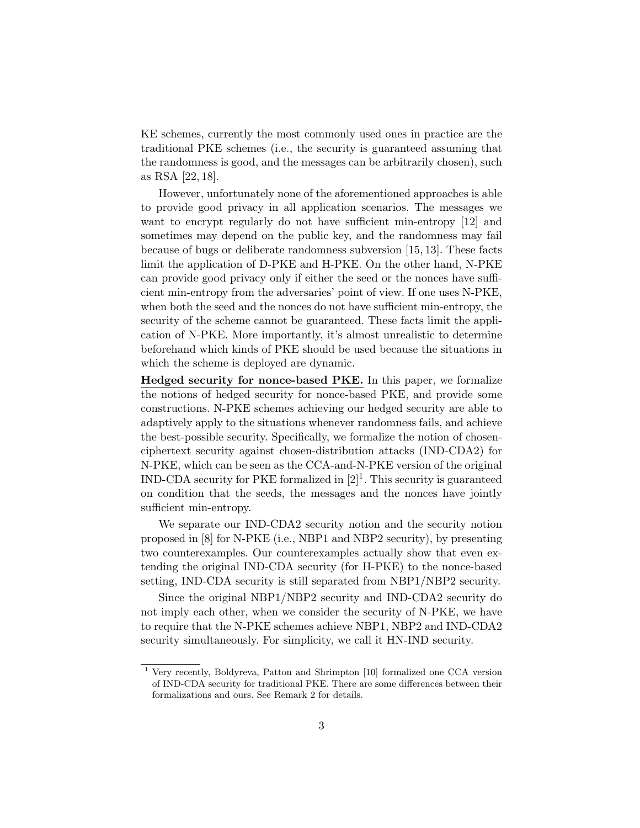KE schemes, currently the most commonly used ones in practice are the traditional PKE schemes (i.e., the security is guaranteed assuming that the randomness is good, and the messages can be arbitrarily chosen), such as RSA [22, 18].

However, unfortunately none of the aforementioned approaches is able to provide good privacy in all application scenarios. The messages we want to encrypt regularly do not have sufficient min-entropy [12] and sometimes may depend on the public key, and the randomness may fail because of bugs or deliberate randomness subversion [15, 13]. These facts limit the application of D-PKE and H-PKE. On the other hand, N-PKE can provide good privacy only if either the seed or the nonces have sufficient min-entropy from the adversaries' point of view. If one uses N-PKE, when both the seed and the nonces do not have sufficient min-entropy, the security of the scheme cannot be guaranteed. These facts limit the application of N-PKE. More importantly, it's almost unrealistic to determine beforehand which kinds of PKE should be used because the situations in which the scheme is deployed are dynamic.

Hedged security for nonce-based PKE. In this paper, we formalize the notions of hedged security for nonce-based PKE, and provide some constructions. N-PKE schemes achieving our hedged security are able to adaptively apply to the situations whenever randomness fails, and achieve the best-possible security. Specifically, we formalize the notion of chosenciphertext security against chosen-distribution attacks (IND-CDA2) for N-PKE, which can be seen as the CCA-and-N-PKE version of the original IND-CDA security for PKE formalized in  $[2]^1$ . This security is guaranteed on condition that the seeds, the messages and the nonces have jointly sufficient min-entropy.

We separate our IND-CDA2 security notion and the security notion proposed in [8] for N-PKE (i.e., NBP1 and NBP2 security), by presenting two counterexamples. Our counterexamples actually show that even extending the original IND-CDA security (for H-PKE) to the nonce-based setting, IND-CDA security is still separated from NBP1/NBP2 security.

Since the original NBP1/NBP2 security and IND-CDA2 security do not imply each other, when we consider the security of N-PKE, we have to require that the N-PKE schemes achieve NBP1, NBP2 and IND-CDA2 security simultaneously. For simplicity, we call it HN-IND security.

<sup>1</sup> Very recently, Boldyreva, Patton and Shrimpton [10] formalized one CCA version of IND-CDA security for traditional PKE. There are some differences between their formalizations and ours. See Remark 2 for details.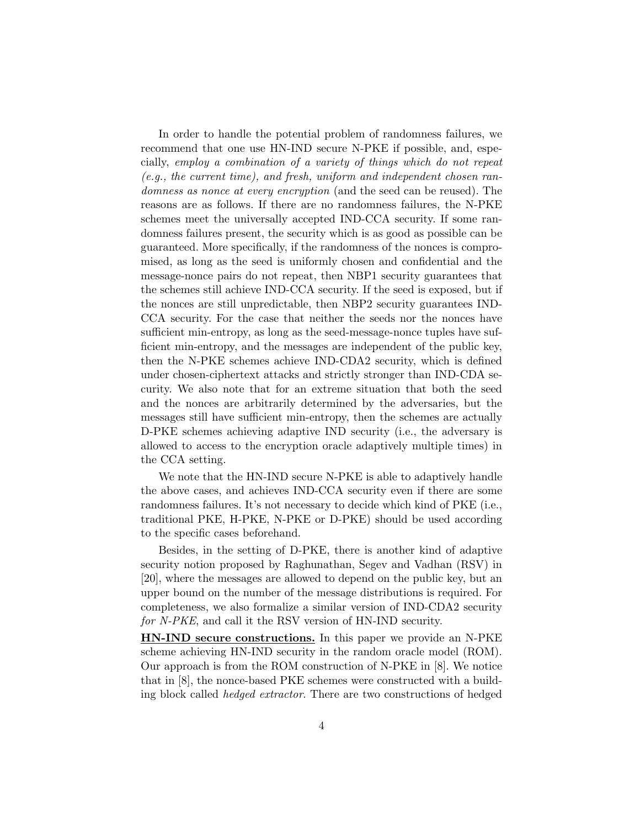In order to handle the potential problem of randomness failures, we recommend that one use HN-IND secure N-PKE if possible, and, especially, employ a combination of a variety of things which do not repeat (e.g., the current time), and fresh, uniform and independent chosen randomness as nonce at every encryption (and the seed can be reused). The reasons are as follows. If there are no randomness failures, the N-PKE schemes meet the universally accepted IND-CCA security. If some randomness failures present, the security which is as good as possible can be guaranteed. More specifically, if the randomness of the nonces is compromised, as long as the seed is uniformly chosen and confidential and the message-nonce pairs do not repeat, then NBP1 security guarantees that the schemes still achieve IND-CCA security. If the seed is exposed, but if the nonces are still unpredictable, then NBP2 security guarantees IND-CCA security. For the case that neither the seeds nor the nonces have sufficient min-entropy, as long as the seed-message-nonce tuples have sufficient min-entropy, and the messages are independent of the public key, then the N-PKE schemes achieve IND-CDA2 security, which is defined under chosen-ciphertext attacks and strictly stronger than IND-CDA security. We also note that for an extreme situation that both the seed and the nonces are arbitrarily determined by the adversaries, but the messages still have sufficient min-entropy, then the schemes are actually D-PKE schemes achieving adaptive IND security (i.e., the adversary is allowed to access to the encryption oracle adaptively multiple times) in the CCA setting.

We note that the HN-IND secure N-PKE is able to adaptively handle the above cases, and achieves IND-CCA security even if there are some randomness failures. It's not necessary to decide which kind of PKE (i.e., traditional PKE, H-PKE, N-PKE or D-PKE) should be used according to the specific cases beforehand.

Besides, in the setting of D-PKE, there is another kind of adaptive security notion proposed by Raghunathan, Segev and Vadhan (RSV) in [20], where the messages are allowed to depend on the public key, but an upper bound on the number of the message distributions is required. For completeness, we also formalize a similar version of IND-CDA2 security for N-PKE, and call it the RSV version of HN-IND security.

HN-IND secure constructions. In this paper we provide an N-PKE scheme achieving HN-IND security in the random oracle model (ROM). Our approach is from the ROM construction of N-PKE in [8]. We notice that in [8], the nonce-based PKE schemes were constructed with a building block called hedged extractor. There are two constructions of hedged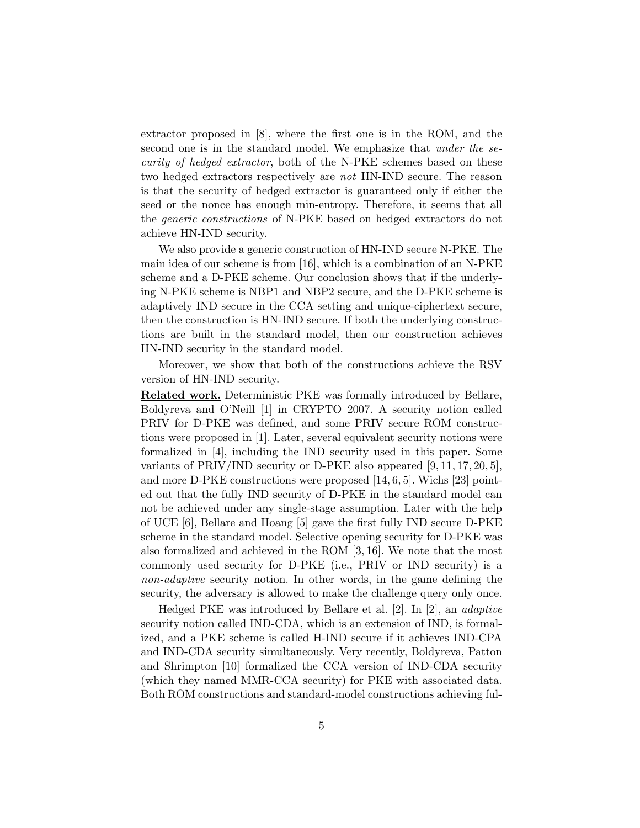extractor proposed in [8], where the first one is in the ROM, and the second one is in the standard model. We emphasize that under the security of hedged extractor, both of the N-PKE schemes based on these two hedged extractors respectively are not HN-IND secure. The reason is that the security of hedged extractor is guaranteed only if either the seed or the nonce has enough min-entropy. Therefore, it seems that all the generic constructions of N-PKE based on hedged extractors do not achieve HN-IND security.

We also provide a generic construction of HN-IND secure N-PKE. The main idea of our scheme is from [16], which is a combination of an N-PKE scheme and a D-PKE scheme. Our conclusion shows that if the underlying N-PKE scheme is NBP1 and NBP2 secure, and the D-PKE scheme is adaptively IND secure in the CCA setting and unique-ciphertext secure, then the construction is HN-IND secure. If both the underlying constructions are built in the standard model, then our construction achieves HN-IND security in the standard model.

Moreover, we show that both of the constructions achieve the RSV version of HN-IND security.

Related work. Deterministic PKE was formally introduced by Bellare, Boldyreva and O'Neill [1] in CRYPTO 2007. A security notion called PRIV for D-PKE was defined, and some PRIV secure ROM constructions were proposed in [1]. Later, several equivalent security notions were formalized in [4], including the IND security used in this paper. Some variants of PRIV/IND security or D-PKE also appeared [9, 11, 17, 20, 5], and more D-PKE constructions were proposed [14, 6, 5]. Wichs [23] pointed out that the fully IND security of D-PKE in the standard model can not be achieved under any single-stage assumption. Later with the help of UCE [6], Bellare and Hoang [5] gave the first fully IND secure D-PKE scheme in the standard model. Selective opening security for D-PKE was also formalized and achieved in the ROM [3, 16]. We note that the most commonly used security for D-PKE (i.e., PRIV or IND security) is a non-adaptive security notion. In other words, in the game defining the security, the adversary is allowed to make the challenge query only once.

Hedged PKE was introduced by Bellare et al. [2]. In [2], an adaptive security notion called IND-CDA, which is an extension of IND, is formalized, and a PKE scheme is called H-IND secure if it achieves IND-CPA and IND-CDA security simultaneously. Very recently, Boldyreva, Patton and Shrimpton [10] formalized the CCA version of IND-CDA security (which they named MMR-CCA security) for PKE with associated data. Both ROM constructions and standard-model constructions achieving ful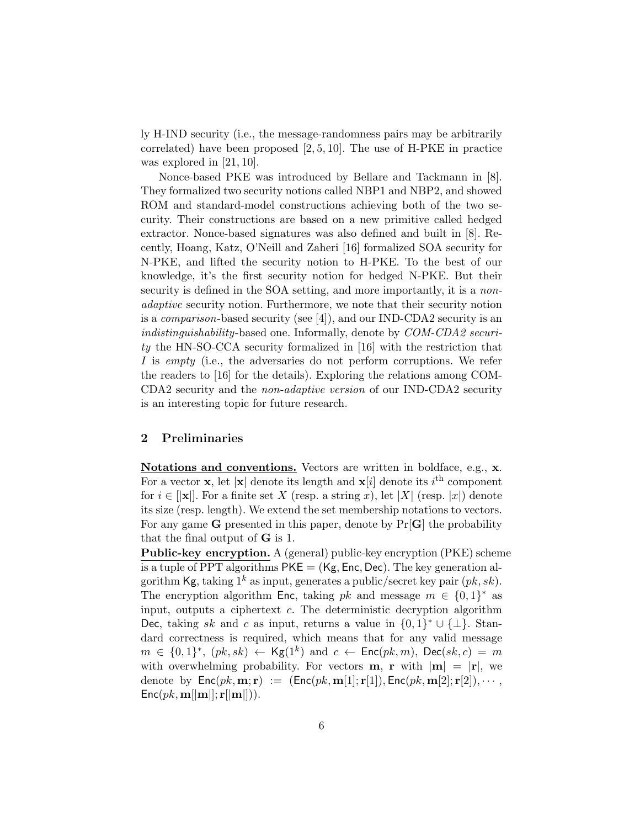ly H-IND security (i.e., the message-randomness pairs may be arbitrarily correlated) have been proposed  $[2, 5, 10]$ . The use of H-PKE in practice was explored in [21, 10].

Nonce-based PKE was introduced by Bellare and Tackmann in [8]. They formalized two security notions called NBP1 and NBP2, and showed ROM and standard-model constructions achieving both of the two security. Their constructions are based on a new primitive called hedged extractor. Nonce-based signatures was also defined and built in [8]. Recently, Hoang, Katz, O'Neill and Zaheri [16] formalized SOA security for N-PKE, and lifted the security notion to H-PKE. To the best of our knowledge, it's the first security notion for hedged N-PKE. But their security is defined in the SOA setting, and more importantly, it is a *non*adaptive security notion. Furthermore, we note that their security notion is a comparison-based security (see [4]), and our IND-CDA2 security is an indistinguishability-based one. Informally, denote by COM-CDA2 security the HN-SO-CCA security formalized in [16] with the restriction that I is empty (i.e., the adversaries do not perform corruptions. We refer the readers to [16] for the details). Exploring the relations among COM-CDA2 security and the non-adaptive version of our IND-CDA2 security is an interesting topic for future research.

## 2 Preliminaries

Notations and conventions. Vectors are written in boldface, e.g., x. For a vector **x**, let  $|x|$  denote its length and  $x[i]$  denote its i<sup>th</sup> component for  $i \in ||\mathbf{x}||$ . For a finite set X (resp. a string x), let |X| (resp. |x|) denote its size (resp. length). We extend the set membership notations to vectors. For any game G presented in this paper, denote by  $Pr[G]$  the probability that the final output of G is 1.

Public-key encryption. A (general) public-key encryption (PKE) scheme is a tuple of PPT algorithms  $PKE = (Kg, Enc, Dec)$ . The key generation algorithm Kg, taking  $1^k$  as input, generates a public/secret key pair  $(pk, sk)$ . The encryption algorithm Enc, taking pk and message  $m \in \{0,1\}^*$  as input, outputs a ciphertext  $c$ . The deterministic decryption algorithm Dec, taking sk and c as input, returns a value in  $\{0,1\}^* \cup \{\perp\}$ . Standard correctness is required, which means that for any valid message  $m \in \{0,1\}^*, (pk, sk) \leftarrow \textsf{Kg}(1^k) \text{ and } c \leftarrow \textsf{Enc}(pk, m), \textsf{Dec}(sk, c) = m$ with overwhelming probability. For vectors **m**, **r** with  $|m| = |r|$ , we denote by  $\mathsf{Enc}(pk, \mathbf{m}; \mathbf{r}) := (\mathsf{Enc}(pk, \mathbf{m}[1]; \mathbf{r}[1]), \mathsf{Enc}(pk, \mathbf{m}[2]; \mathbf{r}[2]), \cdots,$  $Enc(pk, m[|\mathbf{m}|]; \mathbf{r}[|\mathbf{m}|]).$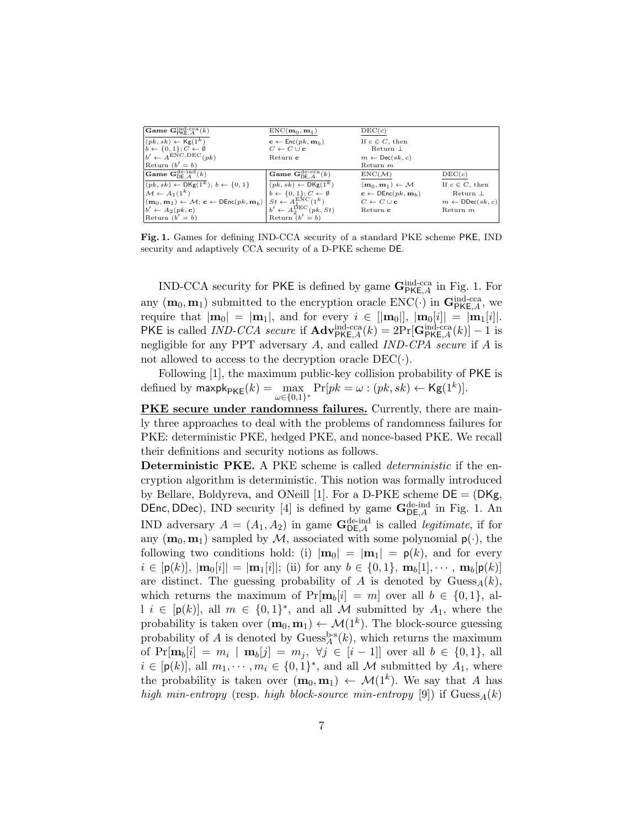| $\mathsf{IGame} \ \overline{\mathbf{G}^{\mathrm{ind-cca}}_{\mathsf{PKE},A}(k)}$                              | $ENC(\mathbf{m}_0, \mathbf{m}_1)$                      | DEC(c)                                                  |                                   |
|--------------------------------------------------------------------------------------------------------------|--------------------------------------------------------|---------------------------------------------------------|-----------------------------------|
| $(pk, sk) \leftarrow \text{Kg}(1^k)$                                                                         | $\mathbf{c} \leftarrow \mathsf{Enc}(pk, \mathbf{m}_b)$ | If $c \in C$ , then                                     |                                   |
| $b \leftarrow \{0, 1\}$ ; $C \leftarrow \emptyset$                                                           | $C \leftarrow C \cup c$                                | Return $\perp$                                          |                                   |
| $ _{b'} \leftarrow A^{\text{ENC,DEC}}(pk)$                                                                   | Return c                                               | $m \leftarrow \text{Dec}(sk, c)$                        |                                   |
| Return $(b' = b)$                                                                                            |                                                        | Return $m$                                              |                                   |
| Game $\mathbf{G}_{\text{DE},A}^{\text{de-ind}}(k)$                                                           | Game $\mathbf{G}_{\text{DE}A}^{\text{de-cca}}(k)$      | $ENC(\mathcal{M})$                                      | DEC(c)                            |
| $(pk, sk) \leftarrow \mathsf{DKg}(1^k); b \leftarrow \{0, 1\}$                                               | $(pk, sk) \leftarrow DKg(1^k)$                         | $(\mathbf{m}_0, \mathbf{m}_1) \leftarrow \mathcal{M}$   | If $c \in C$ , then               |
| $\mathcal{M} \leftarrow A_1(1^k)$                                                                            | $b \leftarrow \{0, 1\}; C \leftarrow \emptyset$        | $\mathbf{c} \leftarrow \mathsf{DEnc}(pk, \mathbf{m}_b)$ | Return $\perp$                    |
| $(\mathbf{m}_0, \mathbf{m}_1) \leftarrow \mathcal{M}; \mathbf{c} \leftarrow \mathsf{DEnc}(pk, \mathbf{m}_b)$ | $St \leftarrow A_1^{\text{ENC}}(1^k)$                  | $C \leftarrow C \cup c$                                 | $m \leftarrow \text{DDec}(sk, c)$ |
| $b' \leftarrow A_2(pk, c)$                                                                                   | $b' \leftarrow A_2^{\text{DEC}}(pk, St)$               | Return c                                                | Return $m$                        |
| Return $(b' = b)$                                                                                            | Return $(b' = b)$                                      |                                                         |                                   |

Fig. 1. Games for defining IND-CCA security of a standard PKE scheme PKE, IND security and adaptively CCA security of a D-PKE scheme DE.

IND-CCA security for PKE is defined by game  $\mathbf{G}_{\mathsf{PKE},A}^{\text{ind-cca}}$  in Fig. 1. For any  $(\mathbf{m}_0, \mathbf{m}_1)$  submitted to the encryption oracle ENC( $\cdot$ ) in  $\mathbf{G}_{\textsf{PKE},A}^{\text{ind-cca}}$ , we require that  $|\mathbf{m}_0| = |\mathbf{m}_1|$ , and for every  $i \in [|\mathbf{m}_0|], |\mathbf{m}_0[i]| = |\mathbf{m}_1[i]|$ . PKE is called *IND-CCA secure* if  $\mathbf{Adv}_{\mathsf{PKE},A}^{\text{ind-cca}}(k) = 2\Pr[\mathbf{G}_{\mathsf{PKE},A}^{\text{ind-cca}}(k)] - 1$  is negligible for any PPT adversary  $A$ , and called  $IND-CPA$  secure if  $A$  is not allowed to access to the decryption oracle  $DEC(\cdot)$ .

Following [1], the maximum public-key collision probability of PKE is defined by  $\mathsf{maxpk}_{\mathsf{PKE}}(k) = \max_{\omega \in \{0,1\}^*} \Pr[pk = \omega : (pk, sk) \leftarrow \mathsf{Kg}(1^k)].$ 

PKE secure under randomness failures. Currently, there are mainly three approaches to deal with the problems of randomness failures for PKE: deterministic PKE, hedged PKE, and nonce-based PKE. We recall their definitions and security notions as follows.

Deterministic PKE. A PKE scheme is called *deterministic* if the encryption algorithm is deterministic. This notion was formally introduced by Bellare, Boldyreva, and ONeill [1]. For a D-PKE scheme  $DE = (DKg,$ DEnc, DDec), IND security [4] is defined by game  $\mathbf{G}_{DE,A}^{\text{de-ind}}$  in Fig. 1. An IND adversary  $A = (A_1, A_2)$  in game  $\mathbf{G}_{\mathsf{DE}, A}^{\text{de-ind}}$  is called *legitimate*, if for any  $(m_0, m_1)$  sampled by M, associated with some polynomial  $p(\cdot)$ , the following two conditions hold: (i)  $|\mathbf{m}_0| = |\mathbf{m}_1| = \mathbf{p}(k)$ , and for every  $i \in [p(k)], |m_0[i]| = |m_1[i]$ ; (ii) for any  $b \in \{0, 1\}, m_b[1], \cdots, m_b[p(k)]$ are distinct. The guessing probability of A is denoted by  $Guss<sub>A</sub>(k)$ , which returns the maximum of  $Pr[\mathbf{m}_b[i] = m]$  over all  $b \in \{0, 1\}$ , al- $1 \, i \in [p(k)]$ , all  $m \in \{0,1\}^*$ , and all M submitted by  $A_1$ , where the probability is taken over  $(m_0, m_1) \leftarrow \mathcal{M}(1^k)$ . The block-source guessing probability of A is denoted by  $\text{Guss}_{A}^{\text{b-s}}(k)$ , which returns the maximum of  $Pr[\mathbf{m}_b[i] = m_i \mid \mathbf{m}_b[j] = m_j, \forall j \in [i-1]]$  over all  $b \in \{0,1\}$ , all  $i \in [p(k)]$ , all  $m_1, \dots, m_i \in \{0, 1\}^*$ , and all M submitted by  $A_1$ , where the probability is taken over  $(m_0, m_1) \leftarrow \mathcal{M}(1^k)$ . We say that A has high min-entropy (resp. high block-source min-entropy [9]) if  $Guss<sub>A</sub>(k)$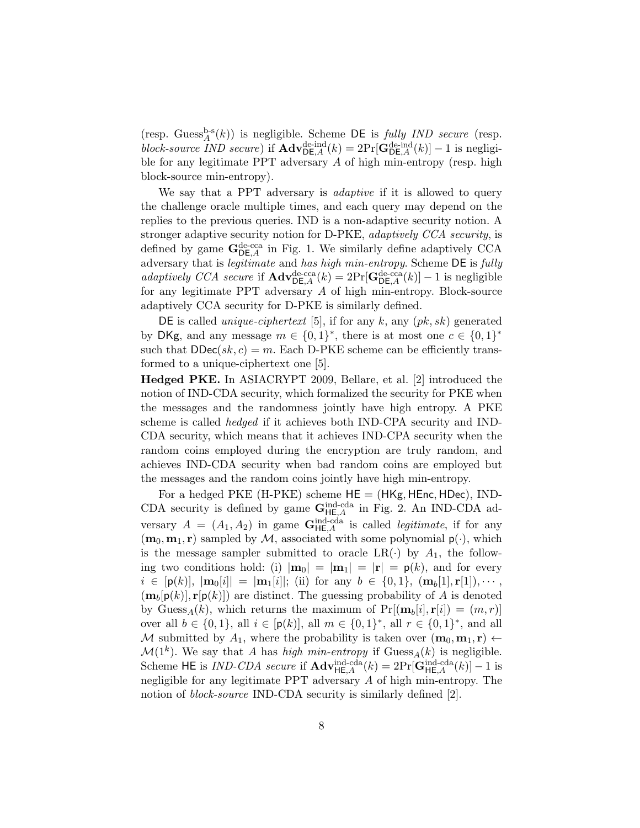(resp. Guess $_A^{b-s}(k)$ ) is negligible. Scheme DE is *fully IND secure* (resp. block-source IND secure) if  $\mathbf{Adv}_{\mathsf{DE},A}^{\text{de-ind}}(k) = 2\Pr[\mathbf{G}_{\mathsf{DE},A}^{\text{de-ind}}(k)] - 1$  is negligible for any legitimate PPT adversary A of high min-entropy (resp. high block-source min-entropy).

We say that a PPT adversary is *adaptive* if it is allowed to query the challenge oracle multiple times, and each query may depend on the replies to the previous queries. IND is a non-adaptive security notion. A stronger adaptive security notion for D-PKE, adaptively CCA security, is defined by game  $\mathbf{G}_{\mathsf{DE},A}^{\text{de-cca}}$  in Fig. 1. We similarly define adaptively CCA adversary that is legitimate and has high min-entropy. Scheme DE is fully adaptively CCA secure if  $\mathbf{Adv}_{\mathsf{DE},A}^{\text{de-cca}}(k) = 2\Pr[\mathbf{G}_{\mathsf{DE},A}^{\text{de-cca}}(k)] - 1$  is negligible for any legitimate PPT adversary A of high min-entropy. Block-source adaptively CCA security for D-PKE is similarly defined.

DE is called *unique-ciphertext* [5], if for any  $k$ , any  $(pk, sk)$  generated by DKg, and any message  $m \in \{0,1\}^*$ , there is at most one  $c \in \{0,1\}^*$ such that  $DDec(sk, c) = m$ . Each D-PKE scheme can be efficiently transformed to a unique-ciphertext one [5].

Hedged PKE. In ASIACRYPT 2009, Bellare, et al. [2] introduced the notion of IND-CDA security, which formalized the security for PKE when the messages and the randomness jointly have high entropy. A PKE scheme is called hedged if it achieves both IND-CPA security and IND-CDA security, which means that it achieves IND-CPA security when the random coins employed during the encryption are truly random, and achieves IND-CDA security when bad random coins are employed but the messages and the random coins jointly have high min-entropy.

For a hedged PKE (H-PKE) scheme  $HE = (HKg, HEnc, HDec)$ , IND-CDA security is defined by game  $\mathbf{G}_{\mathsf{HE},A}^{\text{ind-cda}}$  in Fig. 2. An IND-CDA adversary  $A = (A_1, A_2)$  in game  $\mathbf{G}_{\mathsf{HE}, A}^{\text{ind-cda}}$  is called *legitimate*, if for any  $(\mathbf{m}_0, \mathbf{m}_1, \mathbf{r})$  sampled by M, associated with some polynomial  $p(\cdot)$ , which is the message sampler submitted to oracle  $LR(\cdot)$  by  $A_1$ , the following two conditions hold: (i)  $|\mathbf{m}_0| = |\mathbf{m}_1| = |\mathbf{r}| = \mathbf{p}(k)$ , and for every  $i \in [\mathsf{p}(k)], |\mathbf{m}_0[i]| = |\mathbf{m}_1[i]$ ; (ii) for any  $b \in \{0,1\}, \mathsf{m}_b[1], \mathsf{r}[1]), \cdots$  $(\mathbf{m}_b[\mathbf{p}(k)], \mathbf{r}[\mathbf{p}(k)])$  are distinct. The guessing probability of A is denoted by Guess<sub>A</sub>(k), which returns the maximum of  $Pr[(\mathbf{m}_b[i], \mathbf{r}[i]) = (m, r)]$ over all  $b \in \{0, 1\}$ , all  $i \in [p(k)]$ , all  $m \in \{0, 1\}^*$ , all  $r \in \{0, 1\}^*$ , and all M submitted by  $A_1$ , where the probability is taken over  $(\mathbf{m}_0, \mathbf{m}_1, \mathbf{r}) \leftarrow$  $\mathcal{M}(1^k)$ . We say that A has high min-entropy if Guess<sub>A</sub>(k) is negligible. Scheme HE is *IND-CDA secure* if  $\mathbf{Adv}_{\mathsf{HE},A}^{\text{ind-cda}}(k) = 2\Pr[\mathbf{G}_{\mathsf{HE},A}^{\text{ind-cda}}(k)] - 1$  is negligible for any legitimate PPT adversary A of high min-entropy. The notion of block-source IND-CDA security is similarly defined [2].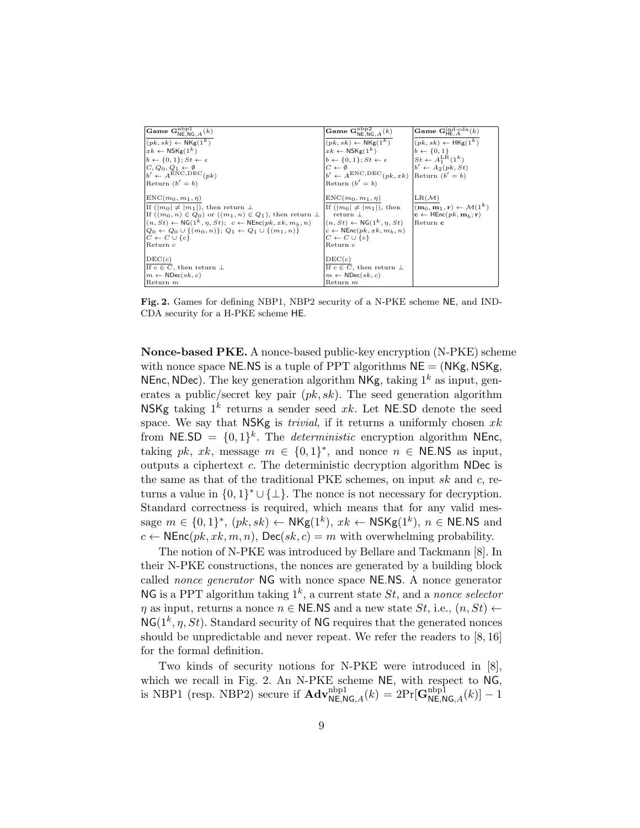| $\overline{\mathbf{Game} \; \mathbf{G}^{{\rm nbp1}}_{\mathsf{NE},\mathsf{NG},A}(k)}$ | $\sqrt{\textbf{Game G}^{\textbf{nbp2}}_{\textsf{NE},\textsf{NG},A}(k)}$ | Game $\mathbf{G}_{\mathsf{HF} A}^{\text{ind-cda}}(k)$                                              |
|--------------------------------------------------------------------------------------|-------------------------------------------------------------------------|----------------------------------------------------------------------------------------------------|
| $(pk, sk) \leftarrow \mathsf{NKg}(1^k)$                                              | $(pk, sk) \leftarrow \mathsf{NKg}(1^k)$                                 | $(pk, sk) \leftarrow \text{HKg}(1^k)$                                                              |
| $xk \leftarrow \mathsf{NSKg}(1^k)$                                                   | $xk \leftarrow \text{NSKg}(1^k)$                                        | $b \leftarrow \{0, 1\}$                                                                            |
| $b \leftarrow \{0, 1\}$ ; $St \leftarrow \epsilon$                                   | $b \leftarrow \{0, 1\}$ ; $St \leftarrow \epsilon$                      | $St \leftarrow A_1^{\text{LR}}(1^k)$                                                               |
| $C, Q_0, Q_1 \leftarrow \emptyset$                                                   | $C \leftarrow \emptyset$                                                | $b' \leftarrow A_2(pk, St)$                                                                        |
| $b' \leftarrow A^{\text{ENC},\text{DEC}}(pk)$                                        | $b' \leftarrow A^{\text{ENC},\text{DEC}}(pk, xk)$ Return $(b' = b)$     |                                                                                                    |
| Return $(b' = b)$                                                                    | Return $(b' = b)$                                                       |                                                                                                    |
|                                                                                      |                                                                         |                                                                                                    |
| $ENC(m_0, m_1, \eta)$                                                                | $ENC(m_0, m_1, \eta)$                                                   | $LR(\mathcal{M})$                                                                                  |
| If $( m_0  \neq  m_1 )$ , then return $\perp$                                        | If $( m_0  \neq  m_1 )$ , then                                          | $\left  \left( \mathbf{m}_0, \mathbf{m}_1, \mathbf{r} \right) \leftarrow \mathcal{M}(1^k) \right $ |
| If $((m_0, n) \in Q_0)$ or $((m_1, n) \in Q_1)$ , then return $\perp$                | return $\perp$                                                          | $\mathbf{c} \leftarrow \text{HEnc}(pk, \mathbf{m}_b; \mathbf{r})$                                  |
| $(n, St) \leftarrow NG(1^k, \eta, St); c \leftarrow NEnc(pk, xk, m_b, n)$            | $(n, St) \leftarrow NG(1^k, \eta, St)$                                  | Return c                                                                                           |
| $Q_0 \leftarrow Q_0 \cup \{(m_0, n)\}; Q_1 \leftarrow Q_1 \cup \{(m_1, n)\}\$        | $c \leftarrow \mathsf{NEnc}(pk, xk, m_h, n)$                            |                                                                                                    |
| $C \leftarrow C \cup \{c\}$                                                          | $C \leftarrow C \cup \{c\}$                                             |                                                                                                    |
| Return c                                                                             | Return c                                                                |                                                                                                    |
|                                                                                      |                                                                         |                                                                                                    |
| DEC(c)                                                                               | DEC(c)                                                                  |                                                                                                    |
| If $c \in C$ , then return $\perp$                                                   | If $c \in C$ , then return $\perp$                                      |                                                                                                    |
| $m \leftarrow \text{NDec}(sk, c)$                                                    | $m \leftarrow \text{NDec}(sk, c)$                                       |                                                                                                    |
| Return m                                                                             | Return m                                                                |                                                                                                    |

Fig. 2. Games for defining NBP1, NBP2 security of a N-PKE scheme NE, and IND-CDA security for a H-PKE scheme HE.

Nonce-based PKE. A nonce-based public-key encryption (N-PKE) scheme with nonce space NE.NS is a tuple of PPT algorithms  $NE = (NKg, NSKg,$ NEnc, NDec). The key generation algorithm NKg, taking  $1^k$  as input, generates a public/secret key pair  $(pk, sk)$ . The seed generation algorithm NSKg taking  $1^k$  returns a sender seed xk. Let NESD denote the seed space. We say that  $\mathsf{NSKg}$  is *trivial*, if it returns a uniformly chosen  $xk$ from NE.SD =  $\{0,1\}^k$ . The *deterministic* encryption algorithm NEnc, taking pk, xk, message  $m \in \{0,1\}^*$ , and nonce  $n \in \mathsf{NE}$ . NS as input, outputs a ciphertext c. The deterministic decryption algorithm NDec is the same as that of the traditional PKE schemes, on input  $sk$  and  $c$ , returns a value in  $\{0,1\}^* \cup \{\perp\}$ . The nonce is not necessary for decryption. Standard correctness is required, which means that for any valid message  $m \in \{0,1\}^*$ ,  $(pk, sk) \leftarrow \mathsf{NKg}(1^k)$ ,  $xk \leftarrow \mathsf{NSKg}(1^k)$ ,  $n \in \mathsf{NE}$ .NS and  $c \leftarrow \mathsf{NEnc}(pk, xk, m, n)$ ,  $\mathsf{Dec}(sk, c) = m$  with overwhelming probability.

The notion of N-PKE was introduced by Bellare and Tackmann [8]. In their N-PKE constructions, the nonces are generated by a building block called nonce generator NG with nonce space NE.NS. A nonce generator NG is a PPT algorithm taking  $1^k$ , a current state  $St$ , and a nonce selector  $\eta$  as input, returns a nonce  $n \in \mathsf{NE}$ . NS and a new state  $St$ , i.e.,  $(n, St) \leftarrow$  $\mathsf{NG}(1^k, \eta, St)$ . Standard security of NG requires that the generated nonces should be unpredictable and never repeat. We refer the readers to [8, 16] for the formal definition.

Two kinds of security notions for N-PKE were introduced in [8], which we recall in Fig. 2. An N-PKE scheme NE, with respect to NG, is NBP1 (resp. NBP2) secure if  $\mathbf{Adv}_{\mathsf{NE,NG},A}^{\text{nbpl}}(k) = 2\Pr[\mathbf{G}_{\mathsf{NE,NG},A}^{\text{nbpl}}(k)] - 1$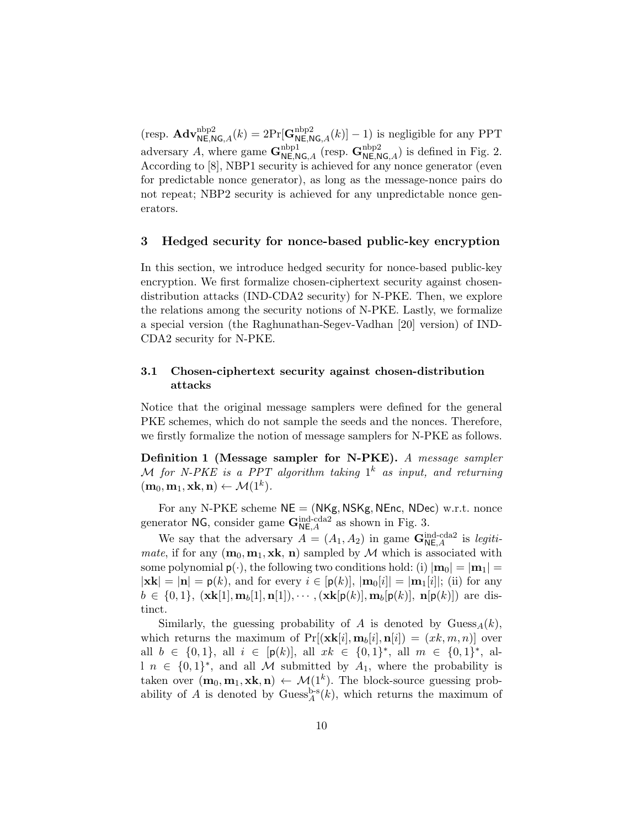(resp.  $\mathbf{Adv}_{\mathsf{NE,NG},A}^{\text{nbp2}}(k) = 2\Pr[\mathbf{G}_{\mathsf{NE,NG},A}^{\text{nbp2}}(k)] - 1$ ) is negligible for any PPT adversary A, where game  $\mathbf{G}_{\mathsf{NE},\mathsf{NG},A}^{\text{nbp1}}$  (resp.  $\mathbf{G}_{\mathsf{NE},\mathsf{NG},A}^{\text{nbp2}}$ ) is defined in Fig. 2. According to [8], NBP1 security is achieved for any nonce generator (even for predictable nonce generator), as long as the message-nonce pairs do not repeat; NBP2 security is achieved for any unpredictable nonce generators.

### 3 Hedged security for nonce-based public-key encryption

In this section, we introduce hedged security for nonce-based public-key encryption. We first formalize chosen-ciphertext security against chosendistribution attacks (IND-CDA2 security) for N-PKE. Then, we explore the relations among the security notions of N-PKE. Lastly, we formalize a special version (the Raghunathan-Segev-Vadhan [20] version) of IND-CDA2 security for N-PKE.

## 3.1 Chosen-ciphertext security against chosen-distribution attacks

Notice that the original message samplers were defined for the general PKE schemes, which do not sample the seeds and the nonces. Therefore, we firstly formalize the notion of message samplers for N-PKE as follows.

Definition 1 (Message sampler for N-PKE). A message sampler M for N-PKE is a PPT algorithm taking  $1^k$  as input, and returning  $(\mathbf{m}_0, \mathbf{m}_1, \mathbf{x}\mathbf{k}, \mathbf{n}) \leftarrow \mathcal{M}(1^k).$ 

For any N-PKE scheme NE = (NKg, NSKg, NEnc, NDec) w.r.t. nonce generator NG, consider game  $\mathbf{G}_{\mathsf{NE},A}^{\text{ind-cda2}}$  as shown in Fig. 3.

We say that the adversary  $A = (A_1, A_2)$  in game  $\mathbf{G}_{\text{NE},A}^{\text{ind-cda2}}$  is *legitimate*, if for any  $(m_0, m_1, xk, n)$  sampled by M which is associated with some polynomial  $p(\cdot)$ , the following two conditions hold: (i)  $|m_0| = |m_1| =$  $|\mathbf{x}\mathbf{k}| = |\mathbf{n}| = \mathbf{p}(k)$ , and for every  $i \in [\mathbf{p}(k)]$ ,  $|\mathbf{m}_0[i]| = |\mathbf{m}_1[i]|$ ; (ii) for any  $b \in \{0,1\}, \, (\mathbf{x}\mathbf{k}[1], \mathbf{m}_b[1], \mathbf{n}[1]), \cdots, (\mathbf{x}\mathbf{k}[\mathsf{p}(k)], \mathbf{m}_b[\mathsf{p}(k)], \, \mathbf{n}[\mathsf{p}(k)])$  are distinct.

Similarly, the guessing probability of A is denoted by  $Guss<sub>A</sub>(k)$ , which returns the maximum of  $Pr[(\mathbf{x}|\mathbf{k}[i], \mathbf{m}_b[i], \mathbf{n}[i]) = (xk, m, n)]$  over all  $b \in \{0,1\}$ , all  $i \in [p(k)]$ , all  $xk \in \{0,1\}^*$ , all  $m \in \{0,1\}^*$ , al $l \, n \in \{0,1\}^*$ , and all M submitted by  $A_1$ , where the probability is taken over  $(m_0, m_1, x\mathbf{k}, \mathbf{n}) \leftarrow \mathcal{M}(1^k)$ . The block-source guessing probability of A is denoted by Guess ${}_{A}^{b-s}(k)$ , which returns the maximum of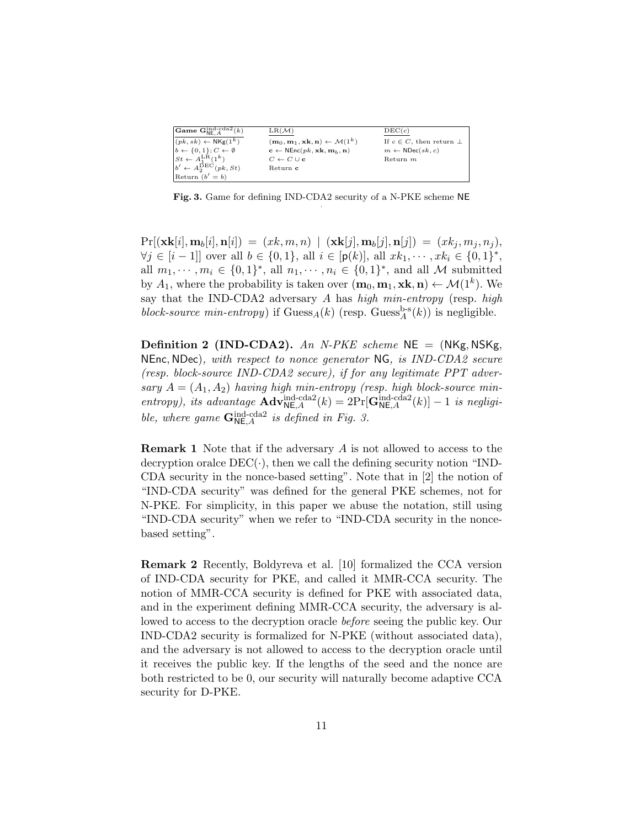| Game $\mathbf{G}_{\textsf{NF A}}^{\text{ind-cda2}}(k)$ | $LR(\mathcal{M})$                                                                            | DEC(c)                             |
|--------------------------------------------------------|----------------------------------------------------------------------------------------------|------------------------------------|
| $(pk, sk) \leftarrow \mathsf{NKg}(1^k)$                | $(\mathbf{m}_0, \mathbf{m}_1, \mathbf{x}\mathbf{k}, \mathbf{n}) \leftarrow \mathcal{M}(1^k)$ | If $c \in C$ , then return $\perp$ |
| $ b \leftarrow \{0, 1\}$ ; $C \leftarrow \emptyset$    | $\mathbf{c} \leftarrow \text{NEnc}(pk, \mathbf{x}\mathbf{k}, \mathbf{m}_h, \mathbf{n})$      | $m \leftarrow \text{NDec}(sk, c)$  |
| $St \leftarrow A_1^{\text{LR}}(1^k)$                   | $C \leftarrow C \cup c$                                                                      | Return $m$                         |
| $b' \leftarrow A_2^{\text{DEC}}(pk, St)$               | Return c                                                                                     |                                    |
| Return $(b' = b)$                                      |                                                                                              |                                    |

Fig. 3. Game for defining IND-CDA2 security of a N-PKE scheme NE .

 $Pr[(\mathbf{x}|\{i}, \mathbf{m}_b[i], \mathbf{n}[i]) = (xk, m, n) | (\mathbf{x}|\{j}, \mathbf{m}_b[j], \mathbf{n}[j]) = (xk_i, m_i, n_j),$  $\forall j \in [i-1] \text{ over all } b \in \{0,1\}, \text{ all } i \in [p(k)], \text{ all } xk_1, \dots, xk_i \in \{0,1\}^*,$ all  $m_1, \dots, m_i \in \{0,1\}^*$ , all  $n_1, \dots, n_i \in \{0,1\}^*$ , and all M submitted by  $A_1$ , where the probability is taken over  $(m_0, m_1, x\mathbf{k}, \mathbf{n}) \leftarrow \mathcal{M}(1^k)$ . We say that the IND-CDA2 adversary A has high min-entropy (resp. high block-source min-entropy) if  $Guss_A(k)$  (resp.  $Guss_A^{b-s}(k)$ ) is negligible.

**Definition 2 (IND-CDA2).** An N-PKE scheme  $NE = (NKg, NSKg,$ NEnc, NDec), with respect to nonce generator NG, is IND-CDA2 secure (resp. block-source IND-CDA2 secure), if for any legitimate PPT adversary  $A = (A_1, A_2)$  having high min-entropy (resp. high block-source minentropy), its advantage  $\mathbf{Adv}_{\mathsf{NE},A}^{\text{ind-cda2}}(k) = 2\Pr[\mathbf{G}_{\mathsf{NE},A}^{\text{ind-cda2}}(k)] - 1$  is negligible, where game  $\mathbf{G}_{\mathsf{NE},A}^{\text{ind-cda2}}$  is defined in Fig. 3.

Remark 1 Note that if the adversary A is not allowed to access to the decryption oralce  $DEC(\cdot)$ , then we call the defining security notion "IND-CDA security in the nonce-based setting". Note that in [2] the notion of "IND-CDA security" was defined for the general PKE schemes, not for N-PKE. For simplicity, in this paper we abuse the notation, still using "IND-CDA security" when we refer to "IND-CDA security in the noncebased setting".

Remark 2 Recently, Boldyreva et al. [10] formalized the CCA version of IND-CDA security for PKE, and called it MMR-CCA security. The notion of MMR-CCA security is defined for PKE with associated data, and in the experiment defining MMR-CCA security, the adversary is allowed to access to the decryption oracle before seeing the public key. Our IND-CDA2 security is formalized for N-PKE (without associated data), and the adversary is not allowed to access to the decryption oracle until it receives the public key. If the lengths of the seed and the nonce are both restricted to be 0, our security will naturally become adaptive CCA security for D-PKE.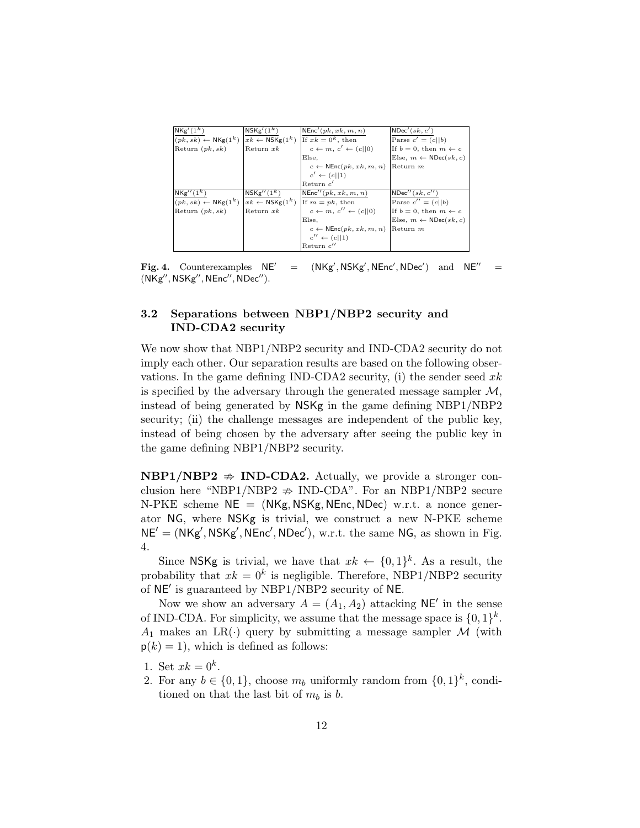| $NKg'(1^k)$                             | $NSKg'(1^k)$                     | NEnc'(pk, xk, m, n)                        | NDec'(sk, c')                                       |
|-----------------------------------------|----------------------------------|--------------------------------------------|-----------------------------------------------------|
| $(pk, sk) \leftarrow \mathsf{NKg}(1^k)$ | $xk \leftarrow \text{NSKg}(1^k)$ | If $xk = 0^k$ , then                       | Parse $c' = (c  b)$                                 |
| Return $(pk, sk)$                       | Return $xk$                      | $c \leftarrow m, c' \leftarrow (c  0)$     | If $b = 0$ , then $m \leftarrow c$                  |
|                                         |                                  | Else.                                      | Else, $m \leftarrow \text{NDec}(sk, c)$             |
|                                         |                                  | $c \leftarrow \mathsf{NEnc}(pk, xk, m, n)$ | $R$ eturn m                                         |
|                                         |                                  | $c' \leftarrow (c  1)$                     |                                                     |
|                                         |                                  | Return $c'$                                |                                                     |
| $NKg''(1^k)$                            | $NSKg''(1^k)$                    | NEnc''(pk, xk, m, n)                       | $\mathsf{NDec}^{\prime\prime}(sk,c^{\prime\prime})$ |
| $(pk, sk) \leftarrow \mathsf{NKg}(1^k)$ | $xk \leftarrow \text{NSKg}(1^k)$ | If $m = pk$ , then                         | Parse $c'' = (c  b)$                                |
| Return $(pk, sk)$                       | Return $xk$                      | $c \leftarrow m, c'' \leftarrow (c  0)$    | If $b = 0$ , then $m \leftarrow c$                  |
|                                         |                                  | Else.                                      | Else, $m \leftarrow \text{NDec}(sk, c)$             |
|                                         |                                  | $c \leftarrow \mathsf{NEnc}(pk, xk, m, n)$ | Return $m$                                          |
|                                         |                                  | $c'' \leftarrow (c  1)$                    |                                                     |
|                                         |                                  | Return $c''$                               |                                                     |

Fig. 4. Counterexamples  $NE'$  =  $,$  NSKg', NEnc', NDec') and NE'' = (NKg", NSKg", NEnc", NDec").

# 3.2 Separations between NBP1/NBP2 security and IND-CDA2 security

We now show that NBP1/NBP2 security and IND-CDA2 security do not imply each other. Our separation results are based on the following observations. In the game defining IND-CDA2 security, (i) the sender seed  $xk$ is specified by the adversary through the generated message sampler  $M$ , instead of being generated by NSKg in the game defining NBP1/NBP2 security; (ii) the challenge messages are independent of the public key, instead of being chosen by the adversary after seeing the public key in the game defining NBP1/NBP2 security.

 $NBP1/NBP2 \Rightarrow IND-CDA2$ . Actually, we provide a stronger conclusion here "NBP1/NBP2  $\Rightarrow$  IND-CDA". For an NBP1/NBP2 secure  $N-PKE$  scheme  $NE = (NKg, NSKg, NEnc, NDec)$  w.r.t. a nonce generator NG, where NSKg is trivial, we construct a new N-PKE scheme  $NE' = (NKg', NSKg', NEnc', NDec'), w.r.t.$  the same NG, as shown in Fig. 4.

Since NSKg is trivial, we have that  $x_k \leftarrow \{0,1\}^k$ . As a result, the probability that  $xk = 0^k$  is negligible. Therefore, NBP1/NBP2 security of NE' is guaranteed by NBP1/NBP2 security of NE.

Now we show an adversary  $A = (A_1, A_2)$  attacking  $NE'$  in the sense of IND-CDA. For simplicity, we assume that the message space is  $\{0,1\}^k$ .  $A_1$  makes an LR( $\cdot$ ) query by submitting a message sampler M (with  $p(k) = 1$ , which is defined as follows:

- 1. Set  $xk = 0^k$ .
- 2. For any  $b \in \{0, 1\}$ , choose  $m_b$  uniformly random from  $\{0, 1\}^k$ , conditioned on that the last bit of  $m_b$  is b.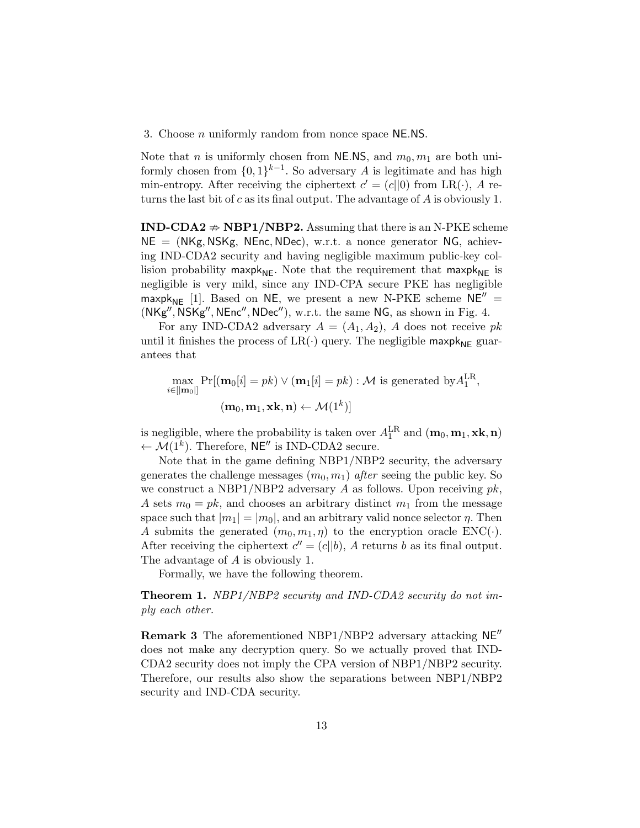#### 3. Choose n uniformly random from nonce space NE.NS.

Note that *n* is uniformly chosen from NE.NS, and  $m_0, m_1$  are both uniformly chosen from  $\{0,1\}^{k-1}$ . So adversary A is legitimate and has high min-entropy. After receiving the ciphertext  $c' = (c||0)$  from LR(·), A returns the last bit of c as its final output. The advantage of  $A$  is obviously 1.

**IND-CDA2**  $\Rightarrow$  **NBP1/NBP2.** Assuming that there is an N-PKE scheme  $NE = (NKg, NSKg, NEnc, NDec), w.r.t. a nonce generator NG, achiev$ ing IND-CDA2 security and having negligible maximum public-key collision probability maxpk<sub>NE</sub>. Note that the requirement that maxpk<sub>NE</sub> is negligible is very mild, since any IND-CPA secure PKE has negligible maxpk<sub>NE</sub> [1]. Based on NE, we present a new N-PKE scheme  $NE'' =$ (NKg", NSKg", NEnc", NDec"), w.r.t. the same NG, as shown in Fig. 4.

For any IND-CDA2 adversary  $A = (A_1, A_2)$ , A does not receive pk until it finishes the process of  $LR(\cdot)$  query. The negligible maxpk<sub>NE</sub> guarantees that

 $\max_{i \in [\lfloor \mathbf{m}_0 \rfloor]} \Pr[(\mathbf{m}_0[i] = pk) \vee (\mathbf{m}_1[i] = pk) : \mathcal{M}$  is generated by  $A_1^{\text{LR}},$  $(\mathbf{m}_0, \mathbf{m}_1, \mathbf{x}\mathbf{k}, \mathbf{n}) \leftarrow \mathcal{M}(1^k)]$ 

is negligible, where the probability is taken over  $A_1^{\text{LR}}$  and  $(\mathbf{m}_0, \mathbf{m}_1, \mathbf{x}\mathbf{k}, \mathbf{n})$  $\leftarrow \mathcal{M}(1^k)$ . Therefore, NE'' is IND-CDA2 secure.

Note that in the game defining NBP1/NBP2 security, the adversary generates the challenge messages  $(m_0, m_1)$  after seeing the public key. So we construct a NBP1/NBP2 adversary A as follows. Upon receiving  $pk$ , A sets  $m_0 = pk$ , and chooses an arbitrary distinct  $m_1$  from the message space such that  $|m_1| = |m_0|$ , and an arbitrary valid nonce selector  $\eta$ . Then A submits the generated  $(m_0, m_1, \eta)$  to the encryption oracle ENC( $\cdot$ ). After receiving the ciphertext  $c'' = (c||b)$ , A returns b as its final output. The advantage of A is obviously 1.

Formally, we have the following theorem.

Theorem 1. NBP1/NBP2 security and IND-CDA2 security do not imply each other.

**Remark 3** The aforementioned NBP1/NBP2 adversary attacking NE<sup>n</sup> does not make any decryption query. So we actually proved that IND-CDA2 security does not imply the CPA version of NBP1/NBP2 security. Therefore, our results also show the separations between NBP1/NBP2 security and IND-CDA security.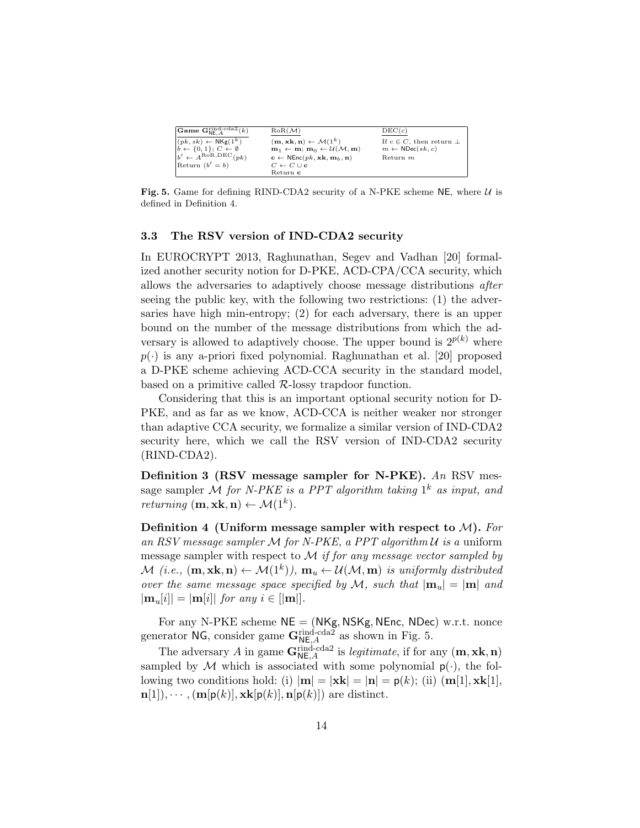| Game $\mathbf{G}_{\text{NF A}}^{\text{rind-cda2}}(k)$                                      | $RoR(\mathcal{M})$                                                                                  | DEC(c)                             |
|--------------------------------------------------------------------------------------------|-----------------------------------------------------------------------------------------------------|------------------------------------|
| $(pk, sk) \leftarrow \mathsf{NKg}(1^k)$                                                    | $(m, xk, n) \leftarrow \mathcal{M}(1^k)$                                                            | If $c \in C$ , then return $\perp$ |
| $b \leftarrow \{0, 1\}; C \leftarrow \emptyset$<br>$b' \leftarrow A^{\text{RoR, DEC}}(pk)$ | $\mathbf{m}_1 \leftarrow \mathbf{m}_1 \mathbf{m}_0 \leftarrow \mathcal{U}(\mathcal{M}, \mathbf{m})$ | $m \leftarrow \text{NDec}(sk, c)$  |
|                                                                                            | $\mathbf{c} \leftarrow \text{NEnc}(pk, \mathbf{x}\mathbf{k}, \mathbf{m}_b, \mathbf{n})$             | Return $m$                         |
| Return $(b' = b)$                                                                          | $C \leftarrow C \cup c$                                                                             |                                    |
|                                                                                            | Return c                                                                                            |                                    |

Fig. 5. Game for defining RIND-CDA2 security of a N-PKE scheme NE, where  $U$  is defined in Definition 4.

## 3.3 The RSV version of IND-CDA2 security

In EUROCRYPT 2013, Raghunathan, Segev and Vadhan [20] formalized another security notion for D-PKE, ACD-CPA/CCA security, which allows the adversaries to adaptively choose message distributions after seeing the public key, with the following two restrictions: (1) the adversaries have high min-entropy; (2) for each adversary, there is an upper bound on the number of the message distributions from which the adversary is allowed to adaptively choose. The upper bound is  $2^{p(k)}$  where  $p(\cdot)$  is any a-priori fixed polynomial. Raghunathan et al. [20] proposed a D-PKE scheme achieving ACD-CCA security in the standard model, based on a primitive called R-lossy trapdoor function.

Considering that this is an important optional security notion for D-PKE, and as far as we know, ACD-CCA is neither weaker nor stronger than adaptive CCA security, we formalize a similar version of IND-CDA2 security here, which we call the RSV version of IND-CDA2 security (RIND-CDA2).

Definition 3 (RSV message sampler for N-PKE). An RSV message sampler M for N-PKE is a PPT algorithm taking  $1^k$  as input, and returning  $(m, \mathbf{x}k, n) \leftarrow \mathcal{M}(1^k)$ .

Definition 4 (Uniform message sampler with respect to  $M$ ). For an RSV message sampler  $M$  for N-PKE, a PPT algorithm  $U$  is a uniform message sampler with respect to  $\mathcal M$  if for any message vector sampled by  $\mathcal{M}$  (i.e.,  $(\mathbf{m}, \mathbf{x}\mathbf{k}, \mathbf{n}) \leftarrow \mathcal{M}(1^k)$ ),  $\mathbf{m}_u \leftarrow \mathcal{U}(\mathcal{M}, \mathbf{m})$  is uniformly distributed over the same message space specified by M, such that  $|\mathbf{m}_u| = |\mathbf{m}|$  and  $|\mathbf{m}_u[i]| = |\mathbf{m}[i]|$  for any  $i \in [|\mathbf{m}|]$ .

For any N-PKE scheme  $NE = (NKg, NSKg, NEnc, NDec)$  w.r.t. nonce generator NG, consider game  $\mathbf{G}_{\mathsf{NE},A}^{\text{rind-cda2}}$  as shown in Fig. 5.

The adversary A in game  $\mathbf{G}_{\mathsf{NE},A}^{\text{rind-cda2}}$  is *legitimate*, if for any  $(\mathbf{m}, \mathbf{x}\mathbf{k}, \mathbf{n})$ sampled by M which is associated with some polynomial  $p(.)$ , the following two conditions hold: (i)  $|\mathbf{m}| = |\mathbf{x}\mathbf{k}| = |\mathbf{n}| = \mathbf{p}(k)$ ; (ii)  $(\mathbf{m}[1], \mathbf{x}\mathbf{k}[1],$  $\mathbf{n}[1], \cdots, \left(\mathbf{m}[\mathbf{p}(k)], \mathbf{xk}[\mathbf{p}(k)], \mathbf{n}[\mathbf{p}(k)]\right)$  are distinct.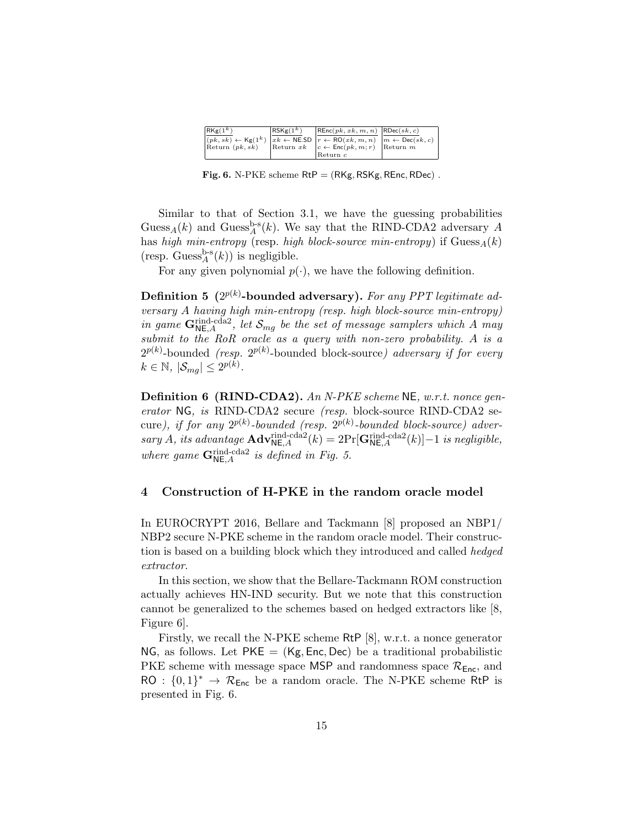| $RKg(1^k)$                            | $RSKg(1^k)$ | $\mathsf{REnc}(pk, xk, m, n)$ $\mathsf{RDec}(sk, c)$                                                           |  |
|---------------------------------------|-------------|----------------------------------------------------------------------------------------------------------------|--|
| $ (pk, sk) \leftarrow \text{Kg}(1^k)$ |             | $\vert xk \leftarrow \text{NE.SD} \vert r \leftarrow \text{RO}(xk, m, n) \vert m \leftarrow \text{Dec}(sk, c)$ |  |
| Return $(pk, sk)$                     |             | Return $xk \mid c \leftarrow \text{Enc}(pk, m; r)$ Return m                                                    |  |
|                                       |             | Return c                                                                                                       |  |

Fig. 6. N-PKE scheme  $RtP = (RKg, RSKg, REnc, RDec)$ .

Similar to that of Section 3.1, we have the guessing probabilities Guess<sub>A</sub>(k) and Guess<sup>b-s</sup>(k). We say that the RIND-CDA2 adversary A has high min-entropy (resp. high block-source min-entropy) if  $Guss<sub>A</sub>(k)$ (resp. Guess $_A^{\mathbf{b}\text{-s}}(k)$ ) is negligible.

For any given polynomial  $p(\cdot)$ , we have the following definition.

Definition 5 (2<sup>p(k)</sup>-bounded adversary). For any PPT legitimate adversary A having high min-entropy (resp. high block-source min-entropy) in game  $\mathbf{G}_{\mathsf{NE},A}^{\text{rind-cda2}}$ , let  $\mathcal{S}_{mg}$  be the set of message samplers which A may submit to the RoR oracle as a query with non-zero probability. A is a  $2^{p(k)}$ -bounded (resp.  $2^{p(k)}$ -bounded block-source) adversary if for every  $k \in \mathbb{N}, |\mathcal{S}_{mg}| \leq 2^{p(k)}$ .

Definition 6 (RIND-CDA2). An N-PKE scheme NE, w.r.t. nonce generator NG, is RIND-CDA2 secure (resp. block-source RIND-CDA2 secure), if for any  $2^{p(k)}$ -bounded (resp.  $2^{p(k)}$ -bounded block-source) adversary A, its advantage  $\mathbf{Adv}_{\mathsf{NE},A}^{\text{rind-cda2}}(k) = 2\Pr[\mathbf{G}_{\mathsf{NE},A}^{\text{rind-cda2}}(k)]-1$  is negligible, where game  $\mathbf{G}_{\mathsf{NE},A}^{\text{rind-cda2}}$  is defined in Fig. 5.

## 4 Construction of H-PKE in the random oracle model

In EUROCRYPT 2016, Bellare and Tackmann [8] proposed an NBP1/ NBP2 secure N-PKE scheme in the random oracle model. Their construction is based on a building block which they introduced and called hedged extractor.

In this section, we show that the Bellare-Tackmann ROM construction actually achieves HN-IND security. But we note that this construction cannot be generalized to the schemes based on hedged extractors like [8, Figure 6].

Firstly, we recall the N-PKE scheme RtP [8], w.r.t. a nonce generator NG, as follows. Let  $PKE = (Kg, Enc, Dec)$  be a traditional probabilistic PKE scheme with message space MSP and randomness space  $\mathcal{R}_{Enc}$ , and RO :  $\{0,1\}^*$   $\rightarrow$   $\mathcal{R}_{\text{Enc}}$  be a random oracle. The N-PKE scheme RtP is presented in Fig. 6.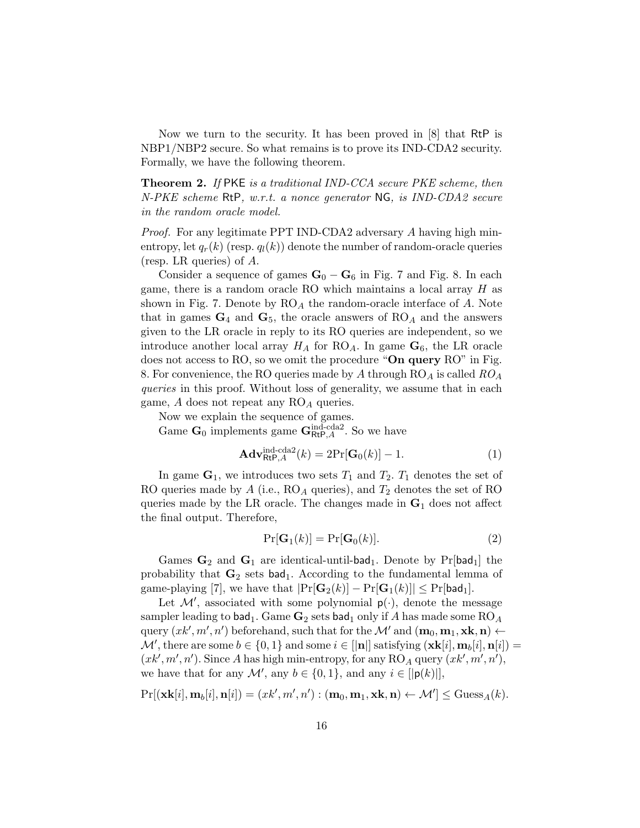Now we turn to the security. It has been proved in [8] that RtP is NBP1/NBP2 secure. So what remains is to prove its IND-CDA2 security. Formally, we have the following theorem.

Theorem 2. If PKE is a traditional IND-CCA secure PKE scheme, then N-PKE scheme RtP, w.r.t. a nonce generator NG, is IND-CDA2 secure in the random oracle model.

Proof. For any legitimate PPT IND-CDA2 adversary A having high minentropy, let  $q_r(k)$  (resp.  $q_l(k)$ ) denote the number of random-oracle queries (resp. LR queries) of A.

Consider a sequence of games  $G_0 - G_6$  in Fig. 7 and Fig. 8. In each game, there is a random oracle RO which maintains a local array  $H$  as shown in Fig. 7. Denote by  $RO<sub>A</sub>$  the random-oracle interface of A. Note that in games  $G_4$  and  $G_5$ , the oracle answers of  $RO_A$  and the answers given to the LR oracle in reply to its RO queries are independent, so we introduce another local array  $H_A$  for RO<sub>A</sub>. In game  $\mathbf{G}_6$ , the LR oracle does not access to RO, so we omit the procedure "On query RO" in Fig. 8. For convenience, the RO queries made by A through  $RO<sub>A</sub>$  is called  $RO<sub>A</sub>$ queries in this proof. Without loss of generality, we assume that in each game, A does not repeat any  $RO<sub>A</sub>$  queries.

Now we explain the sequence of games.

Game  $\mathbf{G}_0$  implements game  $\mathbf{G}_{\text{RtP},A}^{\text{ind-cda2}}$ . So we have

$$
\mathbf{Adv}_{\mathsf{RtP},A}^{\text{ind-cda2}}(k) = 2\Pr[\mathbf{G}_0(k)] - 1.
$$
 (1)

In game  $\mathbf{G}_1$ , we introduces two sets  $T_1$  and  $T_2$ .  $T_1$  denotes the set of RO queries made by  $A$  (i.e.,  $RO_A$  queries), and  $T_2$  denotes the set of RO queries made by the LR oracle. The changes made in  $G_1$  does not affect the final output. Therefore,

$$
\Pr[\mathbf{G}_1(k)] = \Pr[\mathbf{G}_0(k)].\tag{2}
$$

Games  $G_2$  and  $G_1$  are identical-until-bad<sub>1</sub>. Denote by  $Pr[bad_1]$  the probability that  $G_2$  sets bad<sub>1</sub>. According to the fundamental lemma of game-playing [7], we have that  $|\Pr[\mathbf{G}_2(k)] - \Pr[\mathbf{G}_1(k)]| \leq \Pr[\mathsf{bad}_1].$ 

Let  $\mathcal{M}'$ , associated with some polynomial  $p(\cdot)$ , denote the message sampler leading to bad<sub>1</sub>. Game  $G_2$  sets bad<sub>1</sub> only if A has made some  $RO_A$ query  $(xk', m', n')$  beforehand, such that for the  $\mathcal{M}'$  and  $(\mathbf{m}_0, \mathbf{m}_1, \mathbf{xk}, \mathbf{n}) \leftarrow$  $\mathcal{M}'$ , there are some  $b \in \{0, 1\}$  and some  $i \in [\mathbf{n}]$  satisfying  $(\mathbf{x} \mathbf{k}[i], \mathbf{m}_b[i], \mathbf{n}[i]) =$  $(xk', m', n')$ . Since A has high min-entropy, for any RO<sub>A</sub> query  $(xk', m', n')$ , we have that for any  $\mathcal{M}'$ , any  $b \in \{0, 1\}$ , and any  $i \in [|\mathsf{p}(k)|]$ ,

$$
\Pr[(\mathbf{x}\mathbf{k}[i],\mathbf{m}_b[i],\mathbf{n}[i]) = (xk',m',n'): (\mathbf{m}_0,\mathbf{m}_1,\mathbf{x}\mathbf{k},\mathbf{n}) \leftarrow \mathcal{M}'] \leq \mathrm{Gness}_A(k).
$$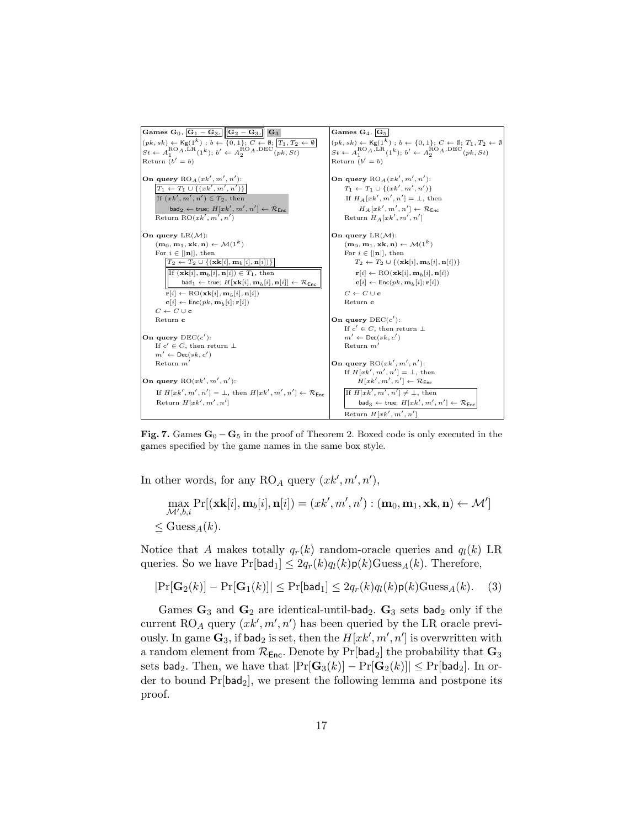

Fig. 7. Games  $\mathbf{G}_0 - \mathbf{G}_5$  in the proof of Theorem 2. Boxed code is only executed in the games specified by the game names in the same box style.

In other words, for any  $RO_A$  query  $(xk', m', n')$ ,

$$
\max_{\mathcal{M}',b,i} \Pr[(\mathbf{x}\mathbf{k}[i],\mathbf{m}_b[i],\mathbf{n}[i]) = (x k', m', n') : (\mathbf{m}_0, \mathbf{m}_1, \mathbf{x}\mathbf{k}, \mathbf{n}) \leftarrow \mathcal{M}']
$$
  

$$
\leq \text{Guess}_{A}(k).
$$

Notice that A makes totally  $q_r(k)$  random-oracle queries and  $q_l(k)$  LR queries. So we have  $Pr[\mathsf{bad}_1] \leq 2q_r(k)q_l(k)\mathsf{p}(k)\text{Gauss}_A(k)$ . Therefore,

$$
|\Pr[\mathbf{G}_2(k)] - \Pr[\mathbf{G}_1(k)]| \le \Pr[\mathsf{bad}_1] \le 2q_r(k)q_l(k)\mathsf{p}(k)\text{Gauss}_A(k). \tag{3}
$$

Games  $\mathbf{G}_3$  and  $\mathbf{G}_2$  are identical-until-bad<sub>2</sub>.  $\mathbf{G}_3$  sets bad<sub>2</sub> only if the current RO<sub>A</sub> query  $(xk', m', n')$  has been queried by the LR oracle previously. In game  $\mathbf{G}_3$ , if bad $_2$  is set, then the  $H[xk',m',n']$  is overwritten with a random element from  $\mathcal{R}_{\mathsf{Enc}}$ . Denote by  $\Pr[\mathsf{bad}_2]$  the probability that  $\mathbf{G}_3$ sets bad<sub>2</sub>. Then, we have that  $|\Pr[\mathbf{G}_3(k)] - \Pr[\mathbf{G}_2(k)]| \leq \Pr[\mathsf{bad}_2]$ . In order to bound  $Pr[bad_2]$ , we present the following lemma and postpone its proof.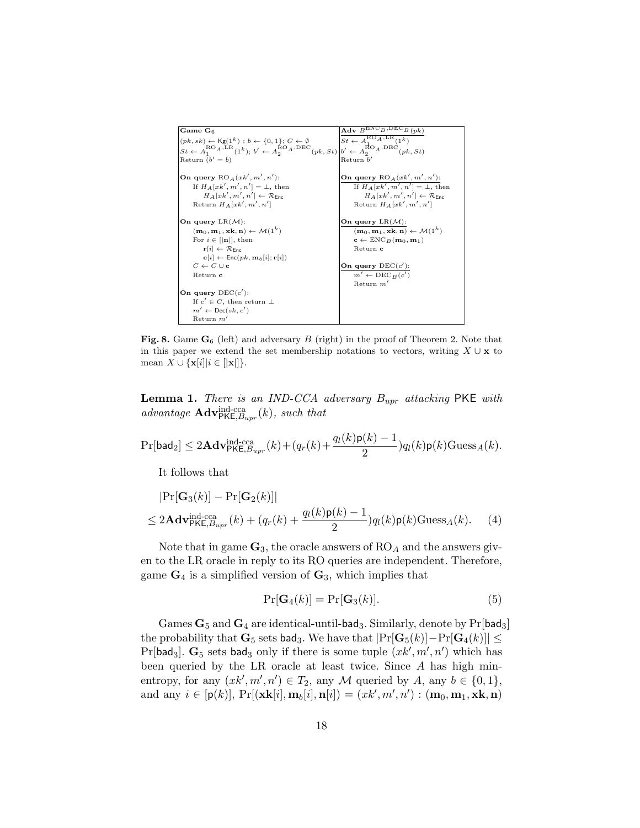| $Game$ $G6$                                                                                                                                                               | $\mathbf{Adv}\;B^{\text{ENC}}B,^{\text{DEC}}B(pk)$                                           |
|---------------------------------------------------------------------------------------------------------------------------------------------------------------------------|----------------------------------------------------------------------------------------------|
| $(pk, sk) \leftarrow \text{Kg}(1^k)$ ; $b \leftarrow \{0, 1\}$ ; $C \leftarrow \emptyset$                                                                                 | $St \leftarrow \overline{A_1^{\rm RO}A^{\, \rm LR}(1^k)}$                                    |
| $St \leftarrow A_1^{\text{RO}} A, \text{LR}(1^k); b' \leftarrow A_2^{\text{RO}} A, \text{DEC}(pk, St) \left  b' \leftarrow A_2^{\text{RO}} A, \text{DEC}(pk, St) \right $ |                                                                                              |
| Return $(b' = b)$                                                                                                                                                         | Return b'                                                                                    |
|                                                                                                                                                                           |                                                                                              |
| On query $RO_A(xk',m',n')$ :                                                                                                                                              | On query $RO_A(xk',m',n')$ :                                                                 |
| If $H_A[xk',m',n'] = \perp$ , then                                                                                                                                        | If $H_A[xk',m',n'] = \perp$ , then                                                           |
| $H_A[xk',m',n'] \leftarrow \mathcal{R}_{\text{Enc}}$                                                                                                                      | $H_A[xk',m',n'] \leftarrow \mathcal{R}_{\text{Enc}}$                                         |
| Return $H_A[xk',m',n']$                                                                                                                                                   | Return $H_A[xk',m',n']$                                                                      |
|                                                                                                                                                                           |                                                                                              |
| On query $LR(M)$ :                                                                                                                                                        | On query $LR(M)$ :                                                                           |
| $(\mathbf{m}_0, \mathbf{m}_1, \mathbf{x}\mathbf{k}, \mathbf{n}) \leftarrow \mathcal{M}(1^k)$                                                                              | $(\mathbf{m}_0, \mathbf{m}_1, \mathbf{x}\mathbf{k}, \mathbf{n}) \leftarrow \mathcal{M}(1^k)$ |
| For $i \in [n]$ , then                                                                                                                                                    | $\mathbf{c} \leftarrow \text{ENC}_B(\mathbf{m}_0, \mathbf{m}_1)$                             |
| $\mathbf{r}[i] \leftarrow \mathcal{R}_{\text{Enc}}$                                                                                                                       | Return c                                                                                     |
| $\mathbf{c}[i] \leftarrow \text{Enc}(pk, \mathbf{m}_h[i]; \mathbf{r}[i])$                                                                                                 |                                                                                              |
| $C \leftarrow C \cup c$                                                                                                                                                   | On query $DEC(c')$ :                                                                         |
| Return c                                                                                                                                                                  | $m' \leftarrow \text{DEC}_R(c')$                                                             |
|                                                                                                                                                                           | Return $m'$                                                                                  |
| On query $DEC(c')$ :                                                                                                                                                      |                                                                                              |
| If $c' \in C$ , then return $\perp$                                                                                                                                       |                                                                                              |
| $m' \leftarrow \text{Dec}(sk, c')$                                                                                                                                        |                                                                                              |
| Return $m'$                                                                                                                                                               |                                                                                              |

Fig. 8. Game  $G_6$  (left) and adversary B (right) in the proof of Theorem 2. Note that in this paper we extend the set membership notations to vectors, writing  $X \cup x$  to mean  $X \cup {\mathbf{x}[i]|i \in [|\mathbf{x}|]}.$ 

**Lemma 1.** There is an IND-CCA adversary  $B_{upr}$  attacking PKE with advantage  $\mathbf{Adv}_{\mathsf{PKE},B_{upr}}^{ind\text{-}\mathrm{cca}}(k)$ , such that

$$
\Pr[\mathsf{bad}_2] \le 2\mathbf{Adv}_{\mathsf{PKE}, B_{upr}}^{\text{ind-cca}}(k) + (q_r(k) + \frac{q_l(k)\mathsf{p}(k) - 1}{2})q_l(k)\mathsf{p}(k)\mathbf{G} \text{uess}_A(k).
$$

It follows that

$$
|\Pr[\mathbf{G}_3(k)] - \Pr[\mathbf{G}_2(k)]|
$$
  
\n
$$
\leq 2\mathbf{Adv}_{\mathsf{PKE}, B_{upr}}^{\text{ind-cca}}(k) + (q_r(k) + \frac{q_l(k)\mathbf{p}(k) - 1}{2})q_l(k)\mathbf{p}(k)\text{Guess}_A(k). \quad (4)
$$

Note that in game  $\mathbf{G}_3$ , the oracle answers of  $RO_A$  and the answers given to the LR oracle in reply to its RO queries are independent. Therefore, game  $\mathbf{G}_4$  is a simplified version of  $\mathbf{G}_3$ , which implies that

$$
\Pr[\mathbf{G}_4(k)] = \Pr[\mathbf{G}_3(k)].\tag{5}
$$

Games  $\mathbf{G}_5$  and  $\mathbf{G}_4$  are identical-until-bad<sub>3</sub>. Similarly, denote by  $Pr[$ bad<sub>3</sub>] the probability that  $\mathbf{G}_5$  sets bad<sub>3</sub>. We have that  $|\Pr[\mathbf{G}_5(k)] - \Pr[\mathbf{G}_4(k)]| \leq$ Pr[bad<sub>3</sub>].  $G_5$  sets bad<sub>3</sub> only if there is some tuple  $(xk', m', n')$  which has been queried by the LR oracle at least twice. Since A has high minentropy, for any  $(xk', m', n') \in T_2$ , any M queried by A, any  $b \in \{0, 1\}$ , and any  $i \in [p(k)]$ ,  $Pr[(\mathbf{x} \mathbf{k}[i], \mathbf{m}_b[i], \mathbf{n}[i]) = (x k', m', n') : (\mathbf{m}_0, \mathbf{m}_1, \mathbf{x} \mathbf{k}, \mathbf{n})$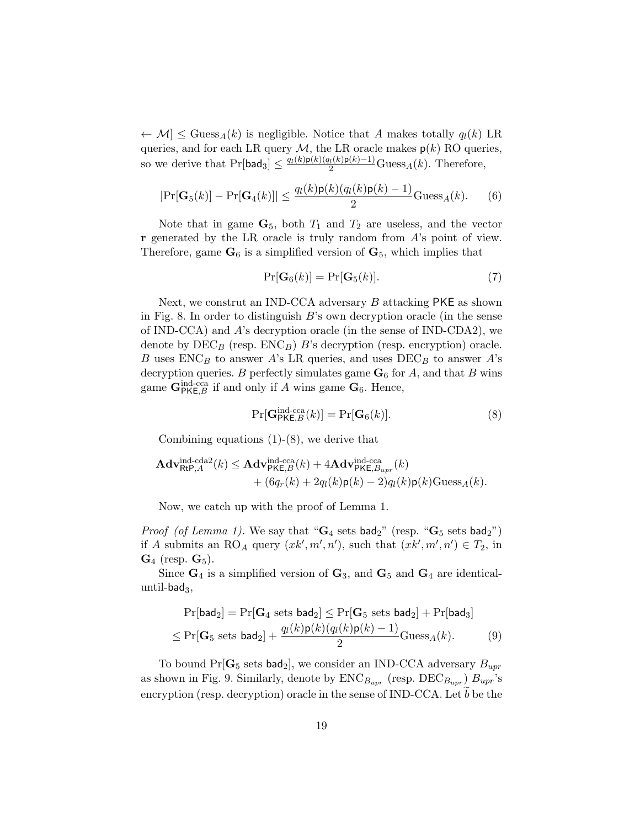$\leftarrow M \leq Guss_A(k)$  is negligible. Notice that A makes totally  $q_l(k)$  LR queries, and for each LR query  $\mathcal{M}$ , the LR oracle makes  $p(k)$  RO queries, so we derive that  $Pr[\mathsf{bad}_3] \leq \frac{q_l(k)\mathsf{p}(k)(q_l(k)\mathsf{p}(k)-1)}{2} \text{Gauss}_A(k)$ . Therefore,

$$
|\Pr[\mathbf{G}_5(k)] - \Pr[\mathbf{G}_4(k)]| \le \frac{q_l(k)\mathsf{p}(k)(q_l(k)\mathsf{p}(k) - 1)}{2}\text{Gauss}_A(k). \tag{6}
$$

Note that in game  $\mathbf{G}_5$ , both  $T_1$  and  $T_2$  are useless, and the vector r generated by the LR oracle is truly random from A's point of view. Therefore, game  $\mathbf{G}_6$  is a simplified version of  $\mathbf{G}_5$ , which implies that

$$
\Pr[\mathbf{G}_6(k)] = \Pr[\mathbf{G}_5(k)].\tag{7}
$$

Next, we construt an IND-CCA adversary B attacking PKE as shown in Fig. 8. In order to distinguish  $B$ 's own decryption oracle (in the sense of IND-CCA) and A's decryption oracle (in the sense of IND-CDA2), we denote by  $DEC_B$  (resp.  $ENC_B$ ) B's decryption (resp. encryption) oracle. B uses  $ENC_B$  to answer A's LR queries, and uses  $DEC_B$  to answer A's decryption queries. B perfectly simulates game  $G_6$  for A, and that B wins game  $\mathbf{G}_{\mathsf{PKE},B}^{\text{ind-cca}}$  if and only if A wins game  $\mathbf{G}_6$ . Hence,

$$
\Pr[\mathbf{G}_{\mathsf{PKE},B}^{\text{ind-cca}}(k)] = \Pr[\mathbf{G}_6(k)].\tag{8}
$$

Combining equations  $(1)-(8)$ , we derive that

$$
\mathbf{Adv}_{\mathsf{RtP},A}^{\text{ind-cda2}}(k) \leq \mathbf{Adv}_{\mathsf{PKE},B}^{\text{ind-cca}}(k) + 4\mathbf{Adv}_{\mathsf{PKE},B_{upr}}^{\text{ind-cca}}(k) + (6q_r(k) + 2q_l(k)p(k) - 2)q_l(k)p(k)\mathrm{Gauss}_A(k).
$$

Now, we catch up with the proof of Lemma 1.

*Proof (of Lemma 1).* We say that " $G_4$  sets bad<sub>2</sub>" (resp. " $G_5$  sets bad<sub>2</sub>") if A submits an RO<sub>A</sub> query  $(xk', m', n')$ , such that  $(xk', m', n') \in T_2$ , in  $\mathbf{G}_4$  (resp.  $\mathbf{G}_5$ ).

Since  $\mathbf{G}_4$  is a simplified version of  $\mathbf{G}_3$ , and  $\mathbf{G}_5$  and  $\mathbf{G}_4$  are identicaluntil-bad $_3,$ 

$$
\Pr[\mathsf{bad}_2] = \Pr[\mathbf{G}_4 \text{ sets } \mathsf{bad}_2] \le \Pr[\mathbf{G}_5 \text{ sets } \mathsf{bad}_2] + \Pr[\mathsf{bad}_3]
$$
\n
$$
\le \Pr[\mathbf{G}_5 \text{ sets } \mathsf{bad}_2] + \frac{q_l(k)\mathsf{p}(k)(q_l(k)\mathsf{p}(k) - 1)}{2}\text{Gauss}_A(k). \tag{9}
$$

To bound  $Pr[\mathbf{G}_5$  sets bad<sub>2</sub>, we consider an IND-CCA adversary  $B_{upr}$ as shown in Fig. 9. Similarly, denote by  $\text{ENC}_{B_{upr}}$  (resp.  $\text{DEC}_{B_{upr}}$ )  $B_{upr}$ 's encryption (resp. decryption) oracle in the sense of IND-CCA. Let  $b$  be the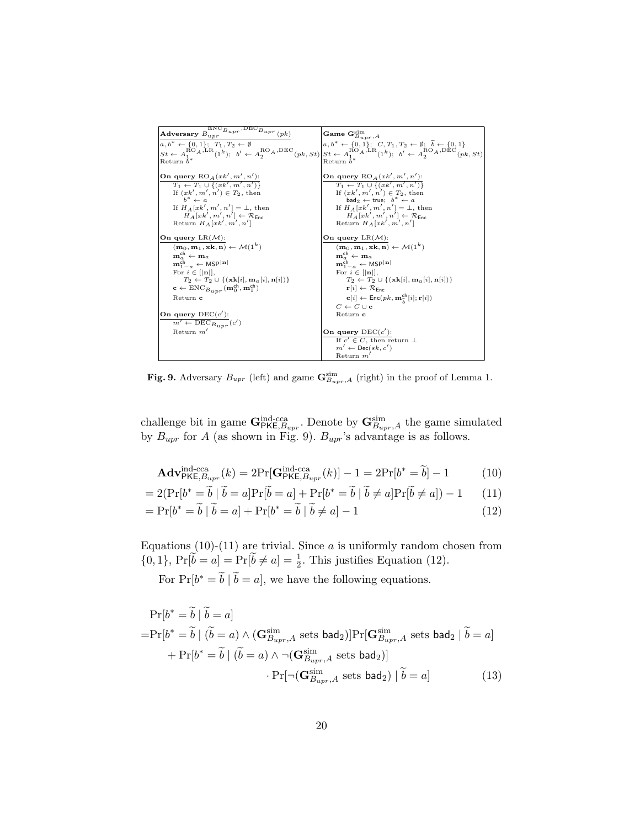| $\frac{\text{ENC}_{B_{upr}}, \text{DEC}_{B_{upr}}}{(pk)}$<br>Adversary $B_{upr}$                           | Game $\mathbf{G}^{\textrm{sim}}_{B_{upr},A}$                                                               |
|------------------------------------------------------------------------------------------------------------|------------------------------------------------------------------------------------------------------------|
| $a, b^* \leftarrow \{0, 1\}; T_1, T_2 \leftarrow \emptyset$                                                | $a, b^* \leftarrow \{0, 1\}; C, T_1, T_2 \leftarrow \emptyset; \tilde{b} \leftarrow \{0, 1\}$              |
| $St \leftarrow A_1^{\rm RO} A,^{\rm LR} (\overline{1^k}); b' \leftarrow A_2^{\rm RO} A,^{\rm DEC}(pk, St)$ | $St \leftarrow A_1^{\text{RO}}A, \text{LR}_{(1^k)}; b' \leftarrow A_2^{\text{RO}}A, \text{DEC}_{(pk, St)}$ |
| Return $b^*$                                                                                               | Return $b^*$                                                                                               |
|                                                                                                            |                                                                                                            |
| On query RO $_A(xk',m',n')$ :                                                                              | On query RO $_A(xk',m',n')$ :                                                                              |
| $T_1 \leftarrow T_1 \cup \{(xk', m', n')\}$                                                                | $T_1 \leftarrow T_1 \cup \{(xk', m', n')\}$                                                                |
| If $(xk', m', n') \in T_2$ , then                                                                          | If $(xk', m', n') \in T_2$ , then                                                                          |
| $b^* \leftarrow a$                                                                                         | $b \triangleleft a \leftarrow \text{true}; b^* \leftarrow a$                                               |
| If $H_A[xk',m',n'] = \perp$ , then                                                                         | If $H_A[xk',m',n'] = \perp$ , then                                                                         |
| $H_A[xk',m',n'] \leftarrow \mathcal{R}_{\text{Enc}}$                                                       | $H_A[xk',m',n'] \leftarrow \mathcal{R}_{\text{Enc}}$                                                       |
| Return $H_A[xk',m',n']$                                                                                    | Return $H_A[xk',m',n']$                                                                                    |
|                                                                                                            |                                                                                                            |
| On query $LR(M)$ :                                                                                         | On query $LR(M)$ :                                                                                         |
| $(\mathbf{m}_0, \mathbf{m}_1, \mathbf{x}\mathbf{k}, \mathbf{n}) \leftarrow \mathcal{M}(1^k)$               | $(\mathbf{m}_0, \mathbf{m}_1, \mathbf{x}\mathbf{k}, \mathbf{n}) \leftarrow \mathcal{M}(1^k)$               |
| $\mathbf{m}_a^{\text{ch}} \leftarrow \mathbf{m}_a$                                                         | $\mathbf{m}_a^{\text{ch}} \leftarrow \mathbf{m}_a$                                                         |
| $\mathbf{m}_{1-a}^{\mathsf{ch}} \leftarrow \mathsf{MSP}^{ \mathbf{n} }$                                    | $\mathbf{m}_{1-a}^{\text{ch}} \leftarrow \text{MSP}^{ \mathbf{n} }$                                        |
| For $i \in [ \mathbf{n} ]$ ,                                                                               | For $i \in [ \mathbf{n} ]$ ,                                                                               |
| $T_2 \leftarrow T_2 \cup \{(\mathbf{x} \mathbf{k}[i], \mathbf{m}_a[i], \mathbf{n}[i])\}$                   | $T_2 \leftarrow T_2 \cup \{(\mathbf{x} \mathbf{k}[i], \mathbf{m}_a[i], \mathbf{n}[i])\}\$                  |
| $\mathbf{c} \leftarrow \text{ENC}_{B_{unr}}(\mathbf{m}_{0}^{\text{ch}}, \mathbf{m}_{1}^{\text{ch}})$       | $\mathbf{r}[i] \leftarrow \mathcal{R}_{\mathsf{Enc}}$                                                      |
| Return c                                                                                                   | $\mathbf{c}[i] \leftarrow \mathsf{Enc}(pk, \mathbf{m}^{\mathsf{Ch}}_{\widetilde{\tau}}[i]; \mathbf{r}[i])$ |
|                                                                                                            | $C \leftarrow C \cup c$                                                                                    |
| On query $DEC(c')$ :                                                                                       | Return c                                                                                                   |
| $\overline{m' \leftarrow \text{DEC}_{B_{upp}}(c')}$                                                        |                                                                                                            |
| Return $m'$                                                                                                | On query $DEC(c')$ :                                                                                       |
|                                                                                                            | If $c' \in C$ , then return $\perp$                                                                        |
|                                                                                                            | $m' \leftarrow \mathsf{Dec}(sk, c')$                                                                       |
|                                                                                                            | Return $m'$                                                                                                |

Fig. 9. Adversary  $B_{upr}$  (left) and game  $\mathbf{G}^{\text{sim}}_{B_{upr},A}$  (right) in the proof of Lemma 1.

challenge bit in game  $\mathbf{G}_{\text{PKE},B_{upr}}^{\text{ind-cca}}$ . Denote by  $\mathbf{G}_{B_{upr},A}^{\text{sim}}$  the game simulated by  $B_{upr}$  for A (as shown in Fig. 9).  $B_{upr}$ 's advantage is as follows.

$$
\mathbf{Adv}_{\mathsf{PKE},B_{upr}}^{\text{ind-cca}}(k) = 2\Pr[\mathbf{G}_{\mathsf{PKE},B_{upr}}^{\text{ind-cca}}(k)] - 1 = 2\Pr[b^* = \tilde{b}] - 1 \tag{10}
$$

$$
=2\left(\Pr[b^* = \widetilde{b} \mid \widetilde{b} = a]\Pr[\widetilde{b} = a] + \Pr[b^* = \widetilde{b} \mid \widetilde{b} \neq a]\Pr[\widetilde{b} \neq a]\right) - 1\tag{11}
$$

$$
= \Pr[b^* = \tilde{b} | \tilde{b} = a] + \Pr[b^* = \tilde{b} | \tilde{b} \neq a] - 1 \tag{12}
$$

Equations  $(10)-(11)$  are trivial. Since a is uniformly random chosen from  $\{0, 1\}$ ,  $\Pr[\tilde{b} = a] = \Pr[\tilde{b} \neq a] = \frac{1}{2}$ . This justifies Equation (12).

For  $Pr[b^* = \tilde{b} | \tilde{b} = a]$ , we have the following equations.

$$
\Pr[b^* = \tilde{b} | \tilde{b} = a]
$$
\n
$$
= \Pr[b^* = \tilde{b} | (\tilde{b} = a) \land (\mathbf{G}_{B_{upr}, A}^{\text{sim}} \text{ sets } \text{bad}_2)] \Pr[\mathbf{G}_{B_{upr}, A}^{\text{sim}} \text{ sets } \text{bad}_2 | \tilde{b} = a]
$$
\n
$$
+ \Pr[b^* = \tilde{b} | (\tilde{b} = a) \land \neg(\mathbf{G}_{B_{upr}, A}^{\text{sim}} \text{ sets } \text{bad}_2)]
$$
\n
$$
\cdot \Pr[\neg(\mathbf{G}_{B_{upr}, A}^{\text{sim}} \text{ sets } \text{bad}_2) | \tilde{b} = a]
$$
\n(13)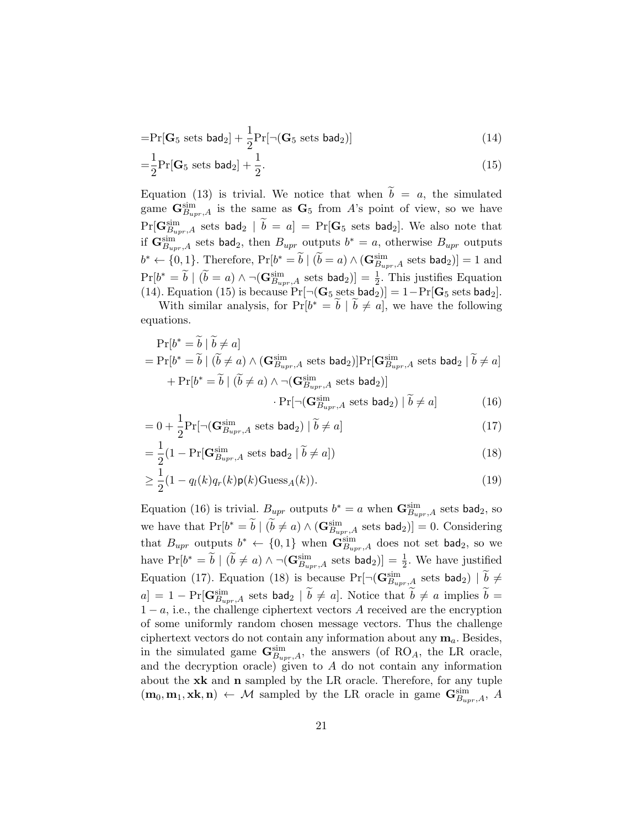$$
=Pr[\mathbf{G}_5 \text{ sets } \mathbf{bad}_2] + \frac{1}{2}Pr[\neg(\mathbf{G}_5 \text{ sets } \mathbf{bad}_2)] \qquad (14)
$$

$$
=\frac{1}{2}\Pr[\mathbf{G}_5 \text{ sets } \mathbf{bad}_2] + \frac{1}{2}.
$$
 (15)

Equation (13) is trivial. We notice that when  $\overline{b} = a$ , the simulated game  $\mathbf{G}^{\text{sim}}_{B_{upr},A}$  is the same as  $\mathbf{G}_5$  from A's point of view, so we have  $\Pr[\mathbf{G}^{\textrm{sim}}_{B_{upr},A}$  sets bad<sub>2</sub> |  $\widetilde{b}$  = a] =  $\Pr[\mathbf{G}_5$  sets bad<sub>2</sub>]. We also note that if  $\mathbf{G}^{\text{sim}}_{B_{upr},A}$  sets bad<sub>2</sub>, then  $B_{upr}$  outputs  $b^* = a$ , otherwise  $B_{upr}$  outputs  $b^* \leftarrow \{0, 1\}$ . Therefore,  $\Pr[b^* = \widetilde{b} \mid (\widetilde{b} = a) \wedge (\mathbf{G}^{\text{sim}}_{B_{upr},A} \text{ sets } \mathsf{bad}_2)] = 1 \text{ and }$  $\Pr[b^* = \tilde{b} \mid (\tilde{b} = a) \land \neg(\mathbf{G}^{\text{sim}}_{B_{upr},A} \text{ sets } \text{bad}_2)] = \frac{1}{2}$ . This justifies Equation (14). Equation (15) is because  $Pr[\neg(\mathbf{G}_5 \text{ sets } \text{bad}_2)] = 1 - Pr[\mathbf{G}_5 \text{ sets } \text{bad}_2]$ .

With similar analysis, for  $\Pr[b^* = \tilde{b} \mid \tilde{b} \neq a]$ , we have the following equations.

$$
\Pr[b^* = \tilde{b} | \tilde{b} \neq a]
$$
\n
$$
= \Pr[b^* = \tilde{b} | (\tilde{b} \neq a) \land (\mathbf{G}_{B_{upr},A}^{\text{sim}} \text{ sets } \text{bad}_2)] \Pr[\mathbf{G}_{B_{upr},A}^{\text{sim}} \text{ sets } \text{bad}_2 | \tilde{b} \neq a]
$$
\n
$$
+ \Pr[b^* = \tilde{b} | (\tilde{b} \neq a) \land \neg(\mathbf{G}_{B_{upr},A}^{\text{sim}} \text{ sets } \text{bad}_2)]
$$
\n
$$
\cdot \Pr[\neg(\mathbf{G}_{B_{upr},A}^{\text{sim}} \text{ sets } \text{bad}_2) | \tilde{b} \neq a]
$$
\n(16)

$$
= 0 + \frac{1}{2} \Pr[\neg(\mathbf{G}^{\text{sim}}_{B_{upr},A} \text{ sets } \mathsf{bad}_2) \mid \widetilde{b} \neq a]
$$
 (17)

$$
= \frac{1}{2} (1 - \Pr[\mathbf{G}_{B_{upr},A}^{\text{sim}} \text{ sets } \text{bad}_2 \mid \tilde{b} \neq a]) \tag{18}
$$

$$
\geq \frac{1}{2}(1 - q_l(k)q_r(k)\mathsf{p}(k)\text{Guess}_A(k)).\tag{19}
$$

Equation (16) is trivial.  $B_{upr}$  outputs  $b^* = a$  when  $\mathbf{G}^{\text{sim}}_{B_{upr},A}$  sets bad<sub>2</sub>, so we have that  $Pr[b^* = \tilde{b} \mid (\tilde{b} \neq a) \land (\mathbf{G}^{\text{sim}}_{B_{upr},A} \text{ sets } \text{bad}_2)] = 0.$  Considering that  $B_{upr}$  outputs  $b^* \leftarrow \{0,1\}$  when  $\mathbf{G}^{\text{sim}}_{B_{upr},A}$  does not set bad<sub>2</sub>, so we have  $\Pr[b^* = \widetilde{b} \mid (\widetilde{b} \neq a) \land \neg(\mathbf{G}^{\text{sim}}_{B_{upr},A} \text{ sets } \text{bad}_2)] = \frac{1}{2}$ . We have justified Equation (17). Equation (18) is because  $Pr[\neg(\mathbf{G}^{\text{sim}}_{B_{upr},A} \text{ sets } \text{bad}_2) | \widetilde{b} \neq$  $[a] = 1 - \Pr[\mathbf{G}^{\text{sim}}_{B_{upp},A} \text{ sets } \mathsf{bad}_2 | \widetilde{b} \neq a]$ . Notice that  $\widetilde{b} \neq a$  implies  $\widetilde{b} = a$  $1 - a$ , i.e., the challenge ciphertext vectors A received are the encryption of some uniformly random chosen message vectors. Thus the challenge ciphertext vectors do not contain any information about any  $m_a$ . Besides, in the simulated game  $\mathbf{G}^{\text{sim}}_{B_{upr},A}$ , the answers (of RO<sub>A</sub>, the LR oracle, and the decryption oracle) given to  $A$  do not contain any information about the xk and n sampled by the LR oracle. Therefore, for any tuple  $(\mathbf{m}_0, \mathbf{m}_1, \mathbf{x}\mathbf{k}, \mathbf{n}) \leftarrow M$  sampled by the LR oracle in game  $\mathbf{G}^{\text{sim}}_{B_{upr},A}$ , A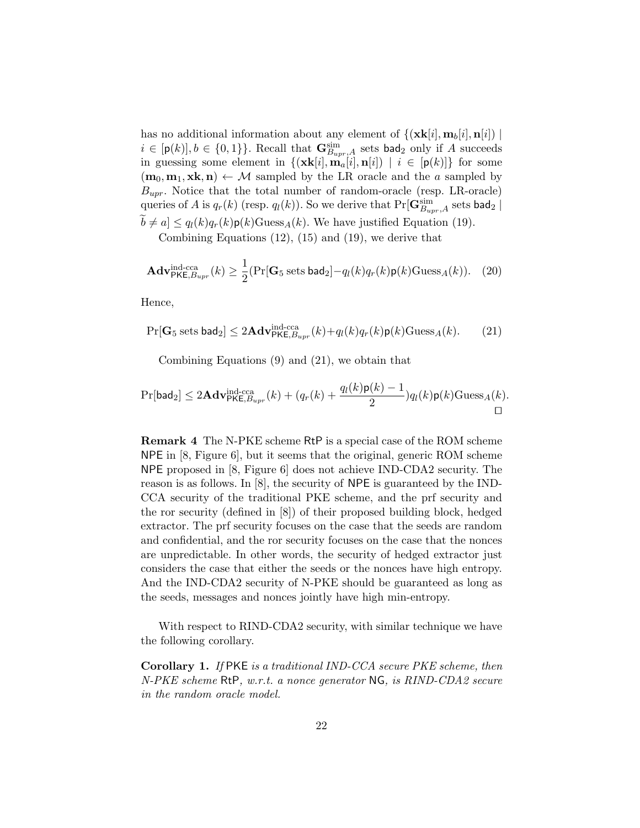has no additional information about any element of  $\{(\mathbf{x}|\mathbf{k}[i], \mathbf{m}_b[i], \mathbf{n}[i])\}$  $i \in [p(k)], b \in \{0,1\}$ . Recall that  $\mathbf{G}^{\text{sim}}_{B_{upr},A}$  sets bad<sub>2</sub> only if A succeeds in guessing some element in  $\{(\mathbf{x}|\mathbf{k}[i], \mathbf{m}_a[i], \mathbf{n}[i]) \mid i \in [\mathbf{p}(k)]\}$  for some  $(m_0, m_1, x\mathbf{k}, \mathbf{n}) \leftarrow M$  sampled by the LR oracle and the a sampled by  $B_{upr}$ . Notice that the total number of random-oracle (resp. LR-oracle) queries of A is  $q_r(k)$  (resp.  $q_l(k)$ ). So we derive that  $\Pr[\mathbf{G}^{\textrm{sim}}_{B_{upr},A}$  sets bad<sub>2</sub> |  $b \neq a \leq q_l(k)q_r(k)p(k)$ Guess $_A(k)$ . We have justified Equation (19).

Combining Equations (12), (15) and (19), we derive that

$$
\mathbf{Adv}_{\mathsf{PKE}, B_{upr}}^{\text{ind-cca}}(k) \ge \frac{1}{2} (\Pr[\mathbf{G}_5 \text{ sets } \mathsf{bad}_2] - q_l(k) q_r(k) \mathsf{p}(k) \text{Guess}_A(k)). \tag{20}
$$

Hence,

$$
\Pr[\mathbf{G}_5 \text{ sets } \mathsf{bad}_2] \le 2\mathbf{Adv}_{\mathsf{PKE}, B_{upr}}^{\text{ind-cca}}(k) + q_l(k)q_r(k)\mathsf{p}(k)\text{Guess}_A(k). \tag{21}
$$

Combining Equations (9) and (21), we obtain that

$$
\Pr[\mathsf{bad}_2] \le 2\mathbf{Adv}_{\mathsf{PKE}, B_{upr}}^{\text{ind-cca}}(k) + (q_r(k) + \frac{q_l(k)\mathsf{p}(k) - 1}{2})q_l(k)\mathsf{p}(k)\text{Guess}_A(k).
$$

Remark 4 The N-PKE scheme RtP is a special case of the ROM scheme NPE in [8, Figure 6], but it seems that the original, generic ROM scheme NPE proposed in [8, Figure 6] does not achieve IND-CDA2 security. The reason is as follows. In [8], the security of NPE is guaranteed by the IND-CCA security of the traditional PKE scheme, and the prf security and the ror security (defined in [8]) of their proposed building block, hedged extractor. The prf security focuses on the case that the seeds are random and confidential, and the ror security focuses on the case that the nonces are unpredictable. In other words, the security of hedged extractor just considers the case that either the seeds or the nonces have high entropy. And the IND-CDA2 security of N-PKE should be guaranteed as long as the seeds, messages and nonces jointly have high min-entropy.

With respect to RIND-CDA2 security, with similar technique we have the following corollary.

Corollary 1. If PKE is a traditional IND-CCA secure PKE scheme, then N-PKE scheme RtP, w.r.t. a nonce generator NG, is RIND-CDA2 secure in the random oracle model.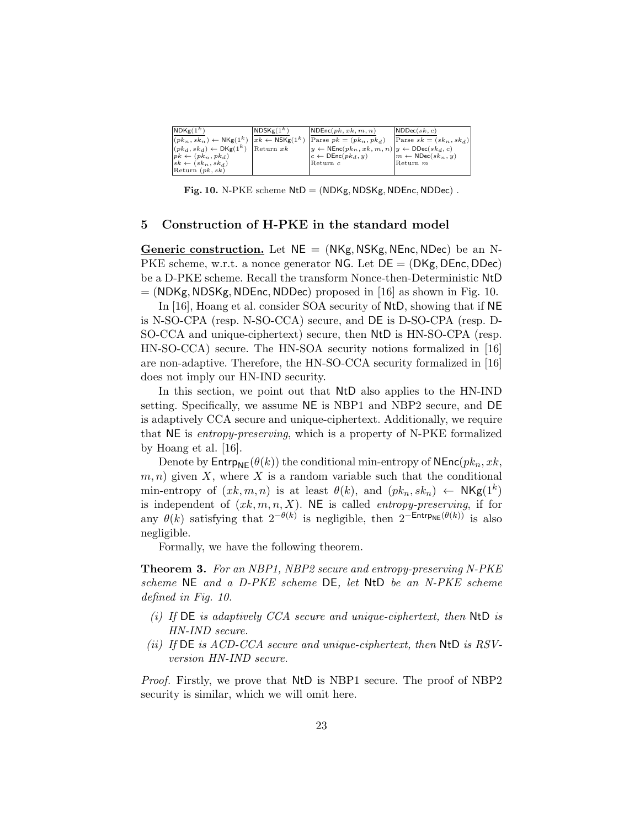| $NDKg(1^k)$                                           | $NDSKg(1^k)$                     | NDEnc(pk, xk, m, n)                                                           | NDDec(sk, c)                                   |
|-------------------------------------------------------|----------------------------------|-------------------------------------------------------------------------------|------------------------------------------------|
| $\mathsf{I}(pk_n, sk_n) \leftarrow \mathsf{NKg}(1^k)$ | $xk \leftarrow \text{NSKg}(1^k)$ | Parse $pk = (pk_n, pk_d)$                                                     | $\left \text{Parse } sk = (sk_n, sk_d)\right $ |
| $ (pk_d, sk_d) \leftarrow \mathsf{DKg}(1^k)$          | Return $xk$                      | $ y \leftarrow \text{NEnc}(pk_n, xk, m, n) y \leftarrow \text{DDec}(sk_d, c)$ |                                                |
| $pk \leftarrow (pk_n, pk_d)$                          |                                  | $c \leftarrow \mathsf{DEnc}(pk_d, y)$                                         | $\{m \leftarrow \mathsf{NDec}(sk_n, y)\}$      |
| $ sk \leftarrow (sk_n, sk_d)$                         |                                  | Return c                                                                      | $R$ eturn m                                    |
| Return $(pk, sk)$                                     |                                  |                                                                               |                                                |

Fig. 10. N-PKE scheme NtD = (NDKg, NDSKg, NDEnc, NDDec) .

## 5 Construction of H-PKE in the standard model

**Generic construction.** Let  $NE = (NKg, NSKg, NEnc, NDec)$  be an N-PKE scheme, w.r.t. a nonce generator  $NG$ . Let  $DE = (DKg, DEnc, DDec)$ be a D-PKE scheme. Recall the transform Nonce-then-Deterministic NtD  $=$  (NDKg, NDSKg, NDEnc, NDDec) proposed in [16] as shown in Fig. 10.

In [16], Hoang et al. consider SOA security of NtD, showing that if NE is N-SO-CPA (resp. N-SO-CCA) secure, and DE is D-SO-CPA (resp. D-SO-CCA and unique-ciphertext) secure, then NtD is HN-SO-CPA (resp. HN-SO-CCA) secure. The HN-SOA security notions formalized in [16] are non-adaptive. Therefore, the HN-SO-CCA security formalized in [16] does not imply our HN-IND security.

In this section, we point out that NtD also applies to the HN-IND setting. Specifically, we assume NE is NBP1 and NBP2 secure, and DE is adaptively CCA secure and unique-ciphertext. Additionally, we require that NE is entropy-preserving, which is a property of N-PKE formalized by Hoang et al. [16].

Denote by  $\mathsf{Entropy}(\theta(k))$  the conditional min-entropy of  $\mathsf{NEnc}(pk_n, xk)$ ,  $m, n$ ) given X, where X is a random variable such that the conditional min-entropy of  $(xk, m, n)$  is at least  $\theta(k)$ , and  $(pk_n, sk_n) \leftarrow \mathsf{NKg}(1^k)$ is independent of  $(xk, m, n, X)$ . NE is called *entropy-preserving*, if for any  $\theta(k)$  satisfying that  $2^{-\theta(k)}$  is negligible, then  $2^{-\text{Entropy}(\theta(k))}$  is also negligible.

Formally, we have the following theorem.

Theorem 3. For an NBP1, NBP2 secure and entropy-preserving N-PKE scheme NE and a D-PKE scheme DE, let NtD be an N-PKE scheme defined in Fig. 10.

- (i) If DE is adaptively CCA secure and unique-ciphertext, then NtD is HN-IND secure.
- (ii) If  $DE$  is ACD-CCA secure and unique-ciphertext, then  $N<sub>th</sub>$  NtD is RSVversion HN-IND secure.

Proof. Firstly, we prove that NtD is NBP1 secure. The proof of NBP2 security is similar, which we will omit here.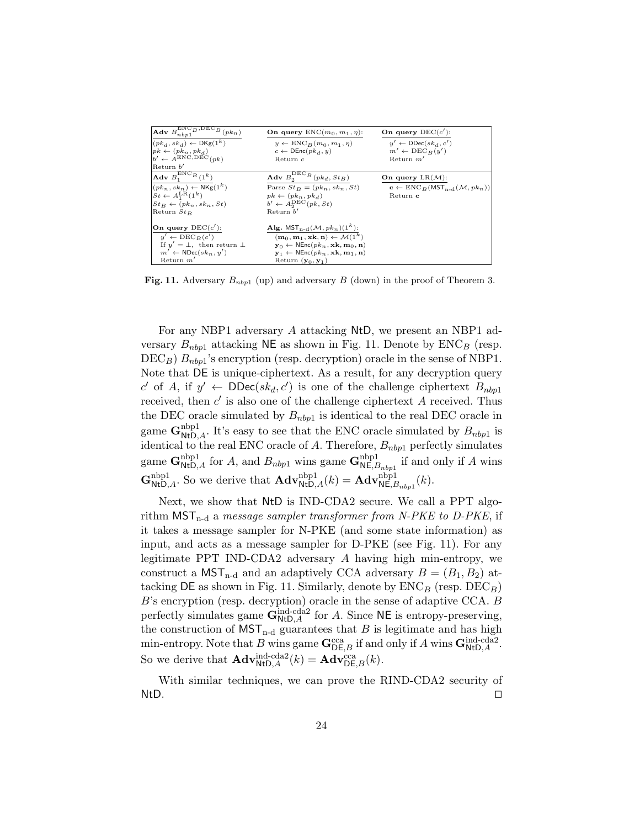| Adv $B_{nbp1}^{\text{ENC}_B,\text{DEC}_B}(pk_n)$<br>$(pk_d, sk_d) \leftarrow \mathsf{DKg}(1^k)$<br>$pk \leftarrow (pk_n, pk_d)$<br>$b' \leftarrow A^{\text{ENC},\text{DEC}}(pk)$<br>Return $b'$ | On query $ENC(m_0, m_1, \eta)$ :<br>$y \leftarrow$ ENC <sub>B</sub> $(m_0, m_1, \eta)$<br>$c \leftarrow \textsf{DEnc}(pk_{d}, y)$<br>Return c                                                                                                                                                                                                                                                | On query $DEC(c')$ :<br>$y' \leftarrow \text{DDec}(sk_d, c')$<br>$m' \leftarrow \text{DEC}_R(y')$<br>Return $m'$ |
|-------------------------------------------------------------------------------------------------------------------------------------------------------------------------------------------------|----------------------------------------------------------------------------------------------------------------------------------------------------------------------------------------------------------------------------------------------------------------------------------------------------------------------------------------------------------------------------------------------|------------------------------------------------------------------------------------------------------------------|
| Adv $B_1^{\text{ENC}_{B}(1^k)}$<br>$(pk_n, sk_n) \leftarrow \mathsf{NKg}(1^k)$<br>$St \leftarrow A_1^{\text{LR}}(1^k)$<br>$St_B \leftarrow (pk_n, sk_n, St)$<br>Return $St_B$                   | Adv $B_2^{\text{DEC}_B}(pk_d,St_B)$<br>Parse $St_B = (pk_n, sk_n, St)$<br>$pk \leftarrow (pk_n, pk_d)$<br>$b' \leftarrow A_2^{\text{DEC}}(pk, St)$<br>Return $b'$                                                                                                                                                                                                                            | On query $LR(M)$ :<br>$\mathbf{c} \leftarrow \text{ENC}_B(\text{MST}_{n-d}(\mathcal{M}, pk_n))$<br>Return c      |
| On query $DEC(c')$ :<br>$y' \leftarrow \text{DEC}_R(c')$<br>If $y' = \perp$ , then return $\perp$<br>$m' \leftarrow \text{NDec}(sk_n, y')$<br>Return $m'$                                       | Alg. MST <sub>n-d</sub> $(\mathcal{M}, p k_n)(1^k)$ :<br>$(\mathbf{m}_0, \mathbf{m}_1, \mathbf{x}\mathbf{k}, \mathbf{n}) \leftarrow \mathcal{M}(1^k)$<br>$\mathbf{y}_0 \leftarrow \text{NEnc}(pk_n, \mathbf{x}\mathbf{k}, \mathbf{m}_0, \mathbf{n})$<br>$\mathbf{y}_1 \leftarrow \text{NEnc}(pk_n, \mathbf{x}\mathbf{k}, \mathbf{m}_1, \mathbf{n})$<br>Return $(\mathbf{y}_0, \mathbf{y}_1)$ |                                                                                                                  |

Fig. 11. Adversary  $B_{nbp1}$  (up) and adversary B (down) in the proof of Theorem 3.

For any NBP1 adversary A attacking NtD, we present an NBP1 adversary  $B_{nbp1}$  attacking NE as shown in Fig. 11. Denote by  $\text{ENC}_B$  (resp.  $DEC_B)$   $B_{nbp1}$ 's encryption (resp. decryption) oracle in the sense of NBP1. Note that DE is unique-ciphertext. As a result, for any decryption query c' of A, if  $y' \leftarrow \text{DDec}(sk_d, c')$  is one of the challenge ciphertext  $B_{nbp1}$ received, then  $c'$  is also one of the challenge ciphertext  $A$  received. Thus the DEC oracle simulated by  $B_{nbp1}$  is identical to the real DEC oracle in game  $\mathbf{G}^{\text{nbpl}}_{\text{NtD},A}$ . It's easy to see that the ENC oracle simulated by  $B_{nbp1}$  is identical to the real ENC oracle of A. Therefore,  $B_{nbp1}$  perfectly simulates game  $\mathbf{G}^{\text{nbpl}}_{\text{NtD},A}$  for A, and  $B_{nbp1}$  wins game  $\mathbf{G}^{\text{nbpl}}_{\text{NE},B}$  $\sup_{N \in B_{nbp1}}$  if and only if A wins  $\mathbf{G}^{\text{nbpl}}_{\text{NtD},A}$ . So we derive that  $\mathbf{Adv}^{\text{nbpl}}_{\text{NtD},A}(k) = \mathbf{Adv}^{\text{nbpl}}_{\text{NE},B_{nbp1}}(k)$ .

Next, we show that NtD is IND-CDA2 secure. We call a PPT algorithm  $MST_{n-d}$  a message sampler transformer from N-PKE to D-PKE, if it takes a message sampler for N-PKE (and some state information) as input, and acts as a message sampler for D-PKE (see Fig. 11). For any legitimate PPT IND-CDA2 adversary A having high min-entropy, we construct a  $MST_{n-d}$  and an adaptively CCA adversary  $B = (B_1, B_2)$  attacking DE as shown in Fig. 11. Similarly, denote by  $\text{ENC}_B$  (resp.  $\text{DEC}_B$ ) B's encryption (resp. decryption) oracle in the sense of adaptive CCA. B perfectly simulates game  $\mathbf{G}_{\text{NtD},A}^{\text{ind-cda2}}$  for A. Since NE is entropy-preserving, the construction of  $MST_{n-d}$  guarantees that B is legitimate and has high min-entropy. Note that B wins game  $\mathbf{G}_{\mathsf{DE},B}^{\text{cca}}$  if and only if A wins  $\mathbf{G}_{\mathsf{NtD},A}^{\text{ind-cda2}}$ . So we derive that  $\mathbf{Adv}_{\mathsf{NtD},A}^{\text{ind-cda2}}(k) = \mathbf{Adv}_{\mathsf{DE},B}^{\text{cca}}(k)$ .

With similar techniques, we can prove the RIND-CDA2 security of  $N$ t $D$ .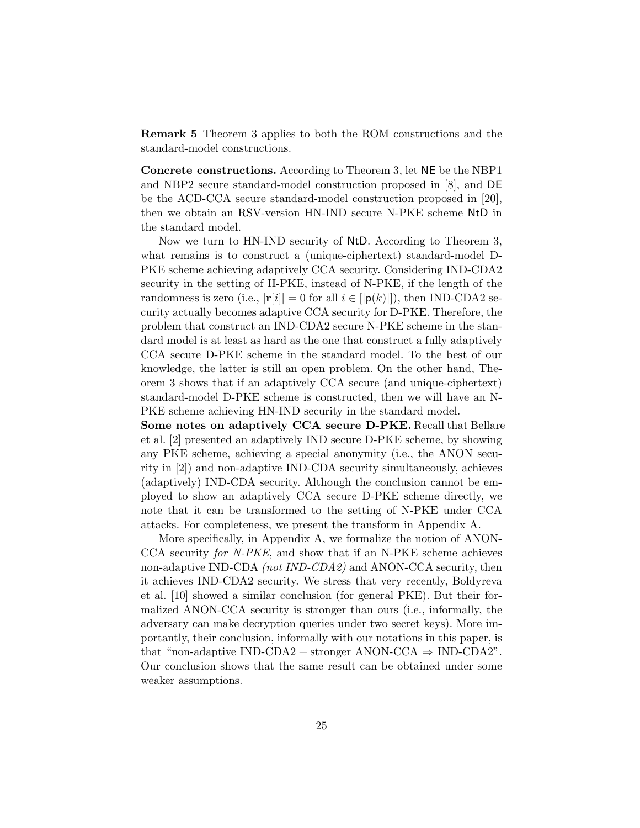Remark 5 Theorem 3 applies to both the ROM constructions and the standard-model constructions.

Concrete constructions. According to Theorem 3, let NE be the NBP1 and NBP2 secure standard-model construction proposed in [8], and DE be the ACD-CCA secure standard-model construction proposed in [20], then we obtain an RSV-version HN-IND secure N-PKE scheme NtD in the standard model.

Now we turn to HN-IND security of NtD. According to Theorem 3, what remains is to construct a (unique-ciphertext) standard-model D-PKE scheme achieving adaptively CCA security. Considering IND-CDA2 security in the setting of H-PKE, instead of N-PKE, if the length of the randomness is zero (i.e.,  $|\mathbf{r}[i]| = 0$  for all  $i \in [|\mathbf{p}(k)||]$ , then IND-CDA2 security actually becomes adaptive CCA security for D-PKE. Therefore, the problem that construct an IND-CDA2 secure N-PKE scheme in the standard model is at least as hard as the one that construct a fully adaptively CCA secure D-PKE scheme in the standard model. To the best of our knowledge, the latter is still an open problem. On the other hand, Theorem 3 shows that if an adaptively CCA secure (and unique-ciphertext) standard-model D-PKE scheme is constructed, then we will have an N-PKE scheme achieving HN-IND security in the standard model.

Some notes on adaptively CCA secure D-PKE. Recall that Bellare et al. [2] presented an adaptively IND secure D-PKE scheme, by showing any PKE scheme, achieving a special anonymity (i.e., the ANON security in [2]) and non-adaptive IND-CDA security simultaneously, achieves (adaptively) IND-CDA security. Although the conclusion cannot be employed to show an adaptively CCA secure D-PKE scheme directly, we note that it can be transformed to the setting of N-PKE under CCA attacks. For completeness, we present the transform in Appendix A.

More specifically, in Appendix A, we formalize the notion of ANON-CCA security for N-PKE, and show that if an N-PKE scheme achieves non-adaptive IND-CDA *(not IND-CDA2)* and ANON-CCA security, then it achieves IND-CDA2 security. We stress that very recently, Boldyreva et al. [10] showed a similar conclusion (for general PKE). But their formalized ANON-CCA security is stronger than ours (i.e., informally, the adversary can make decryption queries under two secret keys). More importantly, their conclusion, informally with our notations in this paper, is that "non-adaptive IND-CDA2 + stronger ANON-CCA  $\Rightarrow$  IND-CDA2". Our conclusion shows that the same result can be obtained under some weaker assumptions.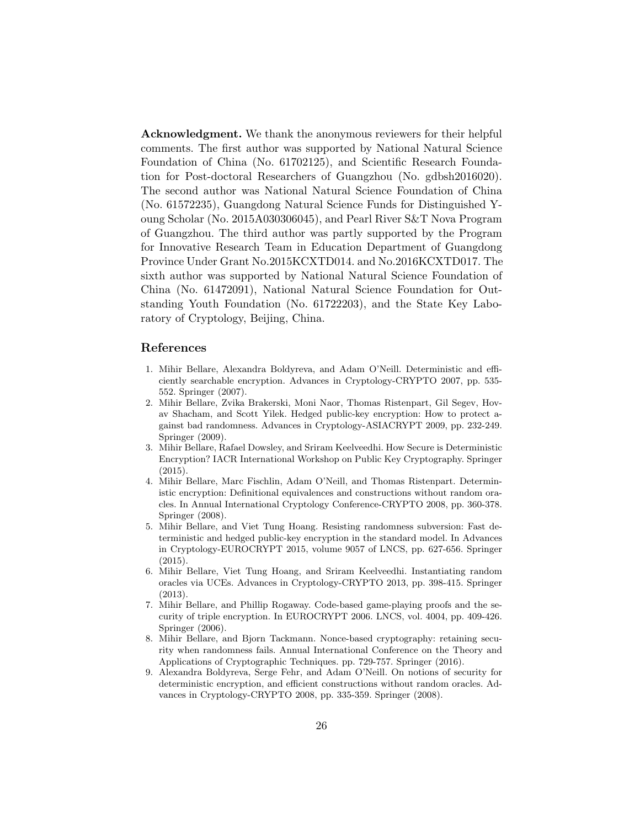Acknowledgment. We thank the anonymous reviewers for their helpful comments. The first author was supported by National Natural Science Foundation of China (No. 61702125), and Scientific Research Foundation for Post-doctoral Researchers of Guangzhou (No. gdbsh2016020). The second author was National Natural Science Foundation of China (No. 61572235), Guangdong Natural Science Funds for Distinguished Young Scholar (No. 2015A030306045), and Pearl River S&T Nova Program of Guangzhou. The third author was partly supported by the Program for Innovative Research Team in Education Department of Guangdong Province Under Grant No.2015KCXTD014. and No.2016KCXTD017. The sixth author was supported by National Natural Science Foundation of China (No. 61472091), National Natural Science Foundation for Outstanding Youth Foundation (No. 61722203), and the State Key Laboratory of Cryptology, Beijing, China.

### References

- 1. Mihir Bellare, Alexandra Boldyreva, and Adam O'Neill. Deterministic and efficiently searchable encryption. Advances in Cryptology-CRYPTO 2007, pp. 535- 552. Springer (2007).
- 2. Mihir Bellare, Zvika Brakerski, Moni Naor, Thomas Ristenpart, Gil Segev, Hovav Shacham, and Scott Yilek. Hedged public-key encryption: How to protect against bad randomness. Advances in Cryptology-ASIACRYPT 2009, pp. 232-249. Springer (2009).
- 3. Mihir Bellare, Rafael Dowsley, and Sriram Keelveedhi. How Secure is Deterministic Encryption? IACR International Workshop on Public Key Cryptography. Springer (2015).
- 4. Mihir Bellare, Marc Fischlin, Adam O'Neill, and Thomas Ristenpart. Deterministic encryption: Definitional equivalences and constructions without random oracles. In Annual International Cryptology Conference-CRYPTO 2008, pp. 360-378. Springer (2008).
- 5. Mihir Bellare, and Viet Tung Hoang. Resisting randomness subversion: Fast deterministic and hedged public-key encryption in the standard model. In Advances in Cryptology-EUROCRYPT 2015, volume 9057 of LNCS, pp. 627-656. Springer (2015).
- 6. Mihir Bellare, Viet Tung Hoang, and Sriram Keelveedhi. Instantiating random oracles via UCEs. Advances in Cryptology-CRYPTO 2013, pp. 398-415. Springer (2013).
- 7. Mihir Bellare, and Phillip Rogaway. Code-based game-playing proofs and the security of triple encryption. In EUROCRYPT 2006. LNCS, vol. 4004, pp. 409-426. Springer (2006).
- 8. Mihir Bellare, and Bjorn Tackmann. Nonce-based cryptography: retaining security when randomness fails. Annual International Conference on the Theory and Applications of Cryptographic Techniques. pp. 729-757. Springer (2016).
- 9. Alexandra Boldyreva, Serge Fehr, and Adam O'Neill. On notions of security for deterministic encryption, and efficient constructions without random oracles. Advances in Cryptology-CRYPTO 2008, pp. 335-359. Springer (2008).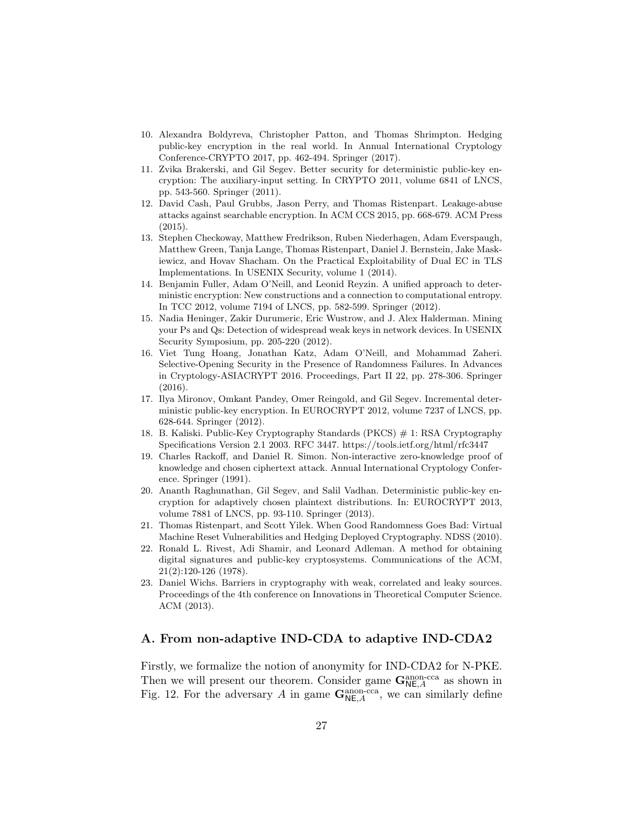- 10. Alexandra Boldyreva, Christopher Patton, and Thomas Shrimpton. Hedging public-key encryption in the real world. In Annual International Cryptology Conference-CRYPTO 2017, pp. 462-494. Springer (2017).
- 11. Zvika Brakerski, and Gil Segev. Better security for deterministic public-key encryption: The auxiliary-input setting. In CRYPTO 2011, volume 6841 of LNCS, pp. 543-560. Springer (2011).
- 12. David Cash, Paul Grubbs, Jason Perry, and Thomas Ristenpart. Leakage-abuse attacks against searchable encryption. In ACM CCS 2015, pp. 668-679. ACM Press (2015).
- 13. Stephen Checkoway, Matthew Fredrikson, Ruben Niederhagen, Adam Everspaugh, Matthew Green, Tanja Lange, Thomas Ristenpart, Daniel J. Bernstein, Jake Maskiewicz, and Hovav Shacham. On the Practical Exploitability of Dual EC in TLS Implementations. In USENIX Security, volume 1 (2014).
- 14. Benjamin Fuller, Adam O'Neill, and Leonid Reyzin. A unified approach to deterministic encryption: New constructions and a connection to computational entropy. In TCC 2012, volume 7194 of LNCS, pp. 582-599. Springer (2012).
- 15. Nadia Heninger, Zakir Durumeric, Eric Wustrow, and J. Alex Halderman. Mining your Ps and Qs: Detection of widespread weak keys in network devices. In USENIX Security Symposium, pp. 205-220 (2012).
- 16. Viet Tung Hoang, Jonathan Katz, Adam O'Neill, and Mohammad Zaheri. Selective-Opening Security in the Presence of Randomness Failures. In Advances in Cryptology-ASIACRYPT 2016. Proceedings, Part II 22, pp. 278-306. Springer (2016).
- 17. Ilya Mironov, Omkant Pandey, Omer Reingold, and Gil Segev. Incremental deterministic public-key encryption. In EUROCRYPT 2012, volume 7237 of LNCS, pp. 628-644. Springer (2012).
- 18. B. Kaliski. Public-Key Cryptography Standards (PKCS) # 1: RSA Cryptography Specifications Version 2.1 2003. RFC 3447. https://tools.ietf.org/html/rfc3447
- 19. Charles Rackoff, and Daniel R. Simon. Non-interactive zero-knowledge proof of knowledge and chosen ciphertext attack. Annual International Cryptology Conference. Springer (1991).
- 20. Ananth Raghunathan, Gil Segev, and Salil Vadhan. Deterministic public-key encryption for adaptively chosen plaintext distributions. In: EUROCRYPT 2013, volume 7881 of LNCS, pp. 93-110. Springer (2013).
- 21. Thomas Ristenpart, and Scott Yilek. When Good Randomness Goes Bad: Virtual Machine Reset Vulnerabilities and Hedging Deployed Cryptography. NDSS (2010).
- 22. Ronald L. Rivest, Adi Shamir, and Leonard Adleman. A method for obtaining digital signatures and public-key cryptosystems. Communications of the ACM, 21(2):120-126 (1978).
- 23. Daniel Wichs. Barriers in cryptography with weak, correlated and leaky sources. Proceedings of the 4th conference on Innovations in Theoretical Computer Science. ACM (2013).

# A. From non-adaptive IND-CDA to adaptive IND-CDA2

Firstly, we formalize the notion of anonymity for IND-CDA2 for N-PKE. Then we will present our theorem. Consider game  $\mathbf{G}_{NE,A}^{\text{anon-cca}}$  as shown in Fig. 12. For the adversary A in game  $\mathbf{G}_{\text{NE},A}^{\text{anon-}\text{cca}}$ , we can similarly define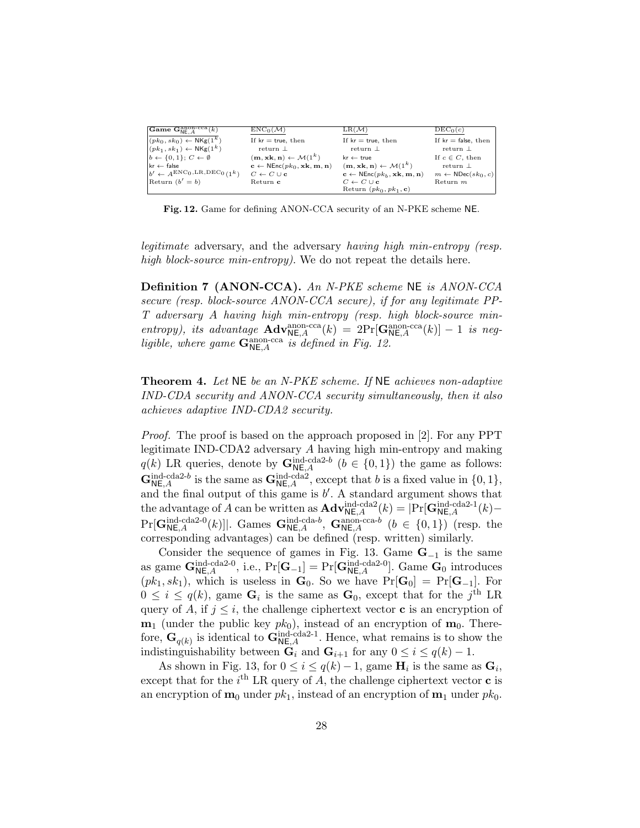| Game $\mathbf{G}_{\text{NE }A}^{\text{anon-cca}}(k)$             | $ENC_0(\mathcal{M})$                                                                    | $LR(\mathcal{M})$                                                                       | $DEC_0(c)$                          |
|------------------------------------------------------------------|-----------------------------------------------------------------------------------------|-----------------------------------------------------------------------------------------|-------------------------------------|
| $(pk_0, sk_0) \leftarrow \mathsf{NKg}(1^k)$                      | If $kr = true$ , then                                                                   | If $kr = true$ , then                                                                   | If $kr = false$ , then              |
| $(pk_1, sk_1) \leftarrow \mathsf{NKg}(1^k)$                      | return                                                                                  | return $\perp$                                                                          | return                              |
| $b \leftarrow \{0, 1\}; C \leftarrow \emptyset$                  | $(\mathbf{m}, \mathbf{x}\mathbf{k}, \mathbf{n}) \leftarrow \mathcal{M}(1^k)$            | $kr \leftarrow true$                                                                    | If $c \in C$ , then                 |
| $kr \leftarrow false$                                            | $\mathbf{c} \leftarrow \text{NEnc}(pk_0, \mathbf{x}\mathbf{k}, \mathbf{m}, \mathbf{n})$ | $(\mathbf{m}, \mathbf{x}\mathbf{k}, \mathbf{n}) \leftarrow \mathcal{M}(1^k)$            | return                              |
| $ b' \leftarrow A^{\text{ENC}_0, \text{LR}, \text{DEC}_0} (1^k)$ | $C \leftarrow C \cup c$                                                                 | $\mathbf{c} \leftarrow \text{NEnc}(pk_h, \mathbf{x}\mathbf{k}, \mathbf{m}, \mathbf{n})$ | $m \leftarrow \text{NDec}(sk_0, c)$ |
| Return $(b' = b)$                                                | Return c                                                                                | $C \leftarrow C \cup c$                                                                 | Return $m$                          |
|                                                                  |                                                                                         | Return $(pk_0, pk_1, c)$                                                                |                                     |

Fig. 12. Game for defining ANON-CCA security of an N-PKE scheme NE.

legitimate adversary, and the adversary having high min-entropy (resp. high block-source min-entropy). We do not repeat the details here.

Definition 7 (ANON-CCA). An N-PKE scheme NE is ANON-CCA secure (resp. block-source ANON-CCA secure), if for any legitimate PP-T adversary A having high min-entropy (resp. high block-source minentropy), its advantage  $\mathbf{Adv}^{\text{anon-cca}}_{\mathsf{NE},A}(k) = 2\Pr[\mathbf{G}^{\text{anon-cca}}_{\mathsf{NE},A}(k)] - 1$  is negligible, where game  $\mathbf{G}_{\mathsf{NE},A}^{\text{anon-cca}}$  is defined in Fig. 12.

Theorem 4. Let NE be an N-PKE scheme. If NE achieves non-adaptive IND-CDA security and ANON-CCA security simultaneously, then it also achieves adaptive IND-CDA2 security.

Proof. The proof is based on the approach proposed in [2]. For any PPT legitimate IND-CDA2 adversary A having high min-entropy and making  $q(k)$  LR queries, denote by  $\mathbf{G}_{\mathsf{NE},A}^{\text{ind-cda2-}b}$   $(b \in \{0,1\})$  the game as follows:  $\mathbf{G}_{\mathsf{NE},A}^{\text{ind-cda2-}b}$  is the same as  $\mathbf{G}_{\mathsf{NE},A}^{\text{ind-cda2}}$ , except that b is a fixed value in  $\{0,1\}$ , and the final output of this game is  $b'$ . A standard argument shows that the advantage of A can be written as  $\mathbf{Adv}_{\mathsf{NE},A}^{\text{ind-cda2}}(k) = |\Pr[\mathbf{G}_{\mathsf{NE},A}^{\text{ind-cda2-1}}(k) Pr[\mathbf{G}_{NE,A}^{\text{ind-cda2-0}}(k)]$ . Games  $\mathbf{G}_{NE,A}^{\text{ind-cda-}b}$ ,  $\mathbf{G}_{NE,A}^{\text{anon-cca-}b}$  ( $b \in \{0,1\}$ ) (resp. the corresponding advantages) can be defined (resp. written) similarly.

Consider the sequence of games in Fig. 13. Game  $\mathbf{G}_{-1}$  is the same as game  $\mathbf{G}_{\mathsf{NE},A}^{\text{ind-cda2-0}}$ , i.e.,  $\Pr[\mathbf{G}_{-1}] = \Pr[\mathbf{G}_{\mathsf{NE},A}^{\text{ind-cda2-0}}]$ . Game  $\mathbf{G}_0$  introduces  $(pk_1, sk_1)$ , which is useless in  $\mathbf{G}_0$ . So we have Pr[ $\mathbf{G}_0$ ] = Pr[ $\mathbf{G}_{-1}$ ]. For  $0 \leq i \leq q(k)$ , game  $\mathbf{G}_i$  is the same as  $\mathbf{G}_0$ , except that for the j<sup>th</sup> LR query of A, if  $j \leq i$ , the challenge ciphertext vector **c** is an encryption of  $m_1$  (under the public key  $pk_0$ ), instead of an encryption of  $m_0$ . Therefore,  $\mathbf{G}_{q(k)}$  is identical to  $\mathbf{G}_{NE,A}^{\text{ind-cda2-1}}$ . Hence, what remains is to show the indistinguishability between  $\mathbf{G}_i$  and  $\mathbf{G}_{i+1}$  for any  $0 \leq i \leq q(k) - 1$ .

As shown in Fig. 13, for  $0 \le i \le q(k) - 1$ , game  $\mathbf{H}_i$  is the same as  $\mathbf{G}_i$ , except that for the  $i^{\text{th}}$  LR query of A, the challenge ciphertext vector **c** is an encryption of  $\mathbf{m}_0$  under  $pk_1$ , instead of an encryption of  $\mathbf{m}_1$  under  $pk_0$ .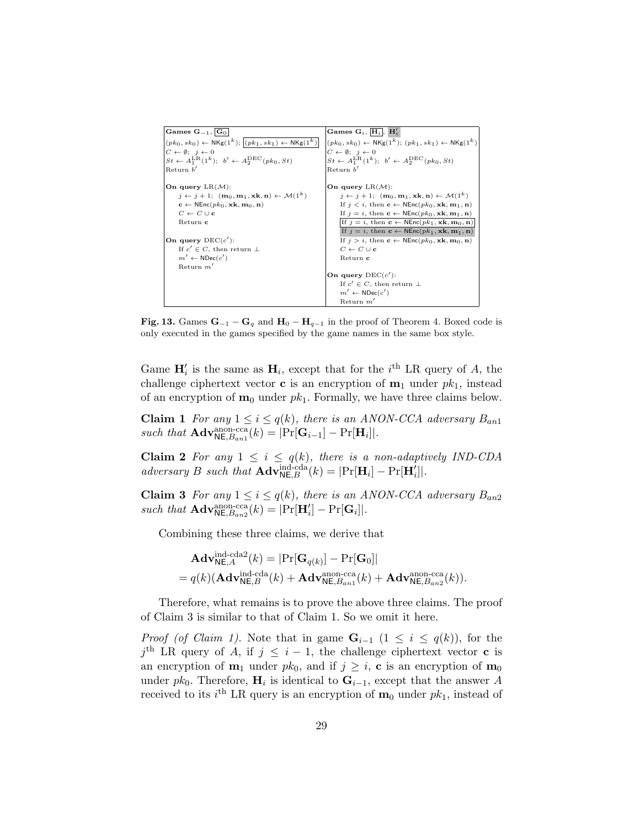| Games $G_{-1}$ , $ G_0 $                                                                                            | Games $G_i$ , $H_i$ , $H'_i$                                                                                        |
|---------------------------------------------------------------------------------------------------------------------|---------------------------------------------------------------------------------------------------------------------|
| $(pk_0, sk_0) \leftarrow \mathsf{NKg}(1^k);  (pk_1, sk_1) \leftarrow \mathsf{NKg}(1^k) $                            | $(pk_0, sk_0) \leftarrow \mathsf{NKg}(1^k); (pk_1, sk_1) \leftarrow \mathsf{NKg}(1^k)$                              |
| $C \leftarrow \emptyset: i \leftarrow 0$                                                                            | $C \leftarrow \emptyset: i \leftarrow 0$                                                                            |
| $St \leftarrow A_1^{\text{LR}}(1^k); b' \leftarrow A_2^{\text{DEC}}(pk_0, St)$                                      | $St \leftarrow A_1^{\text{LR}}(1^k); b' \leftarrow A_2^{\text{DEC}}(pk_0, St)$                                      |
| Return $b'$                                                                                                         | Return $b'$                                                                                                         |
| On query $LR(M)$ :                                                                                                  | On query $LR(M)$ :                                                                                                  |
| $i \leftarrow i + 1$ ; $(\mathbf{m}_0, \mathbf{m}_1, \mathbf{x}\mathbf{k}, \mathbf{n}) \leftarrow \mathcal{M}(1^k)$ | $j \leftarrow j + 1; \; (\mathbf{m}_0, \mathbf{m}_1, \mathbf{x}\mathbf{k}, \mathbf{n}) \leftarrow \mathcal{M}(1^k)$ |
| $\mathbf{c} \leftarrow \mathsf{NEnc}(pk_0, \mathbf{x}\mathbf{k}, \mathbf{m}_0, \mathbf{n})$                         | If $j \lt i$ , then $\mathbf{c} \leftarrow \mathsf{NEnc}(pk_0, \mathbf{x}\mathbf{k}, \mathbf{m}_1, \mathbf{n})$     |
| $C \leftarrow C \cup c$                                                                                             | If $j = i$ , then $\mathbf{c} \leftarrow \text{NEnc}(pk_0, \mathbf{x}\mathbf{k}, \mathbf{m}_1, \mathbf{n})$         |
| Return c                                                                                                            | If $j = i$ , then $\mathbf{c} \leftarrow \mathsf{NEnc}(pk_1, \mathbf{x}\mathbf{k}, \mathbf{m}_0, \mathbf{n})$       |
|                                                                                                                     | If $j = i$ , then $c \leftarrow \text{NEnc}(pk_1, xk, m_1, n)$                                                      |
| On query $DEC(c')$ :                                                                                                | If $j > i$ , then $c \leftarrow \mathsf{NEnc}(pk_0, \mathbf{x}k, m_0, n)$                                           |
| If $c' \in C$ , then return $\perp$                                                                                 | $C \leftarrow C \cup c$                                                                                             |
| $m' \leftarrow \text{NDec}(c')$                                                                                     | Return c                                                                                                            |
| Return $m'$                                                                                                         |                                                                                                                     |
|                                                                                                                     | On query $DEC(c')$ :                                                                                                |
|                                                                                                                     | If $c' \in C$ , then return $\perp$                                                                                 |
|                                                                                                                     | $m' \leftarrow \text{NDec}(c')$                                                                                     |
|                                                                                                                     | Return $m'$                                                                                                         |

Fig. 13. Games  $\mathbf{G}_{-1} - \mathbf{G}_q$  and  $\mathbf{H}_0 - \mathbf{H}_{q-1}$  in the proof of Theorem 4. Boxed code is only executed in the games specified by the game names in the same box style.

Game  $\mathbf{H}'_i$  is the same as  $\mathbf{H}_i$ , except that for the i<sup>th</sup> LR query of A, the challenge ciphertext vector **c** is an encryption of  $m_1$  under  $pk_1$ , instead of an encryption of  $m_0$  under  $pk_1$ . Formally, we have three claims below.

**Claim 1** For any  $1 \leq i \leq q(k)$ , there is an ANON-CCA adversary  $B_{an1}$ such that  $\mathbf{Adv}_{\mathsf{NE},B_{an1}}^{\text{anon-cca}}(k) = |\Pr[\mathbf{G}_{i-1}] - \Pr[\mathbf{H}_i]|.$ 

**Claim 2** For any  $1 \leq i \leq q(k)$ , there is a non-adaptively IND-CDA adversary B such that  $\mathbf{Adv}_{\mathsf{NE},B}^{\text{ind-cda}}(k) = |\Pr[\mathbf{H}_i] - \Pr[\mathbf{H}_i']|.$ 

**Claim 3** For any  $1 \leq i \leq q(k)$ , there is an ANON-CCA adversary  $B_{an2}$ such that  $\mathbf{Adv}_{\mathsf{NE},B_{an2}}^{\text{anon-cca}}(k) = |\Pr[\mathbf{H}'_i] - \Pr[\mathbf{G}_i]|.$ 

Combining these three claims, we derive that

$$
\mathbf{Adv}_{\mathsf{NE},A}^{\text{ind-cda2}}(k) = |\Pr[\mathbf{G}_{q(k)}] - \Pr[\mathbf{G}_0]|
$$
  
=  $q(k)(\mathbf{Adv}_{\mathsf{NE},B}^{\text{ind-cda}}(k) + \mathbf{Adv}_{\mathsf{NE},B_{an1}}^{\text{anon-cca}}(k) + \mathbf{Adv}_{\mathsf{NE},B_{an2}}^{\text{anon-cca}}(k)).$ 

Therefore, what remains is to prove the above three claims. The proof of Claim 3 is similar to that of Claim 1. So we omit it here.

*Proof (of Claim 1)*. Note that in game  $\mathbf{G}_{i-1}$  (1  $\leq i \leq q(k)$ ), for the  $j^{\text{th}}$  LR query of A, if  $j \leq i-1$ , the challenge ciphertext vector **c** is an encryption of  $m_1$  under  $pk_0$ , and if  $j \geq i$ , c is an encryption of  $m_0$ under  $pk_0$ . Therefore,  $\mathbf{H}_i$  is identical to  $\mathbf{G}_{i-1}$ , except that the answer A received to its  $i<sup>th</sup>$  LR query is an encryption of  $\mathbf{m}_0$  under  $pk_1$ , instead of